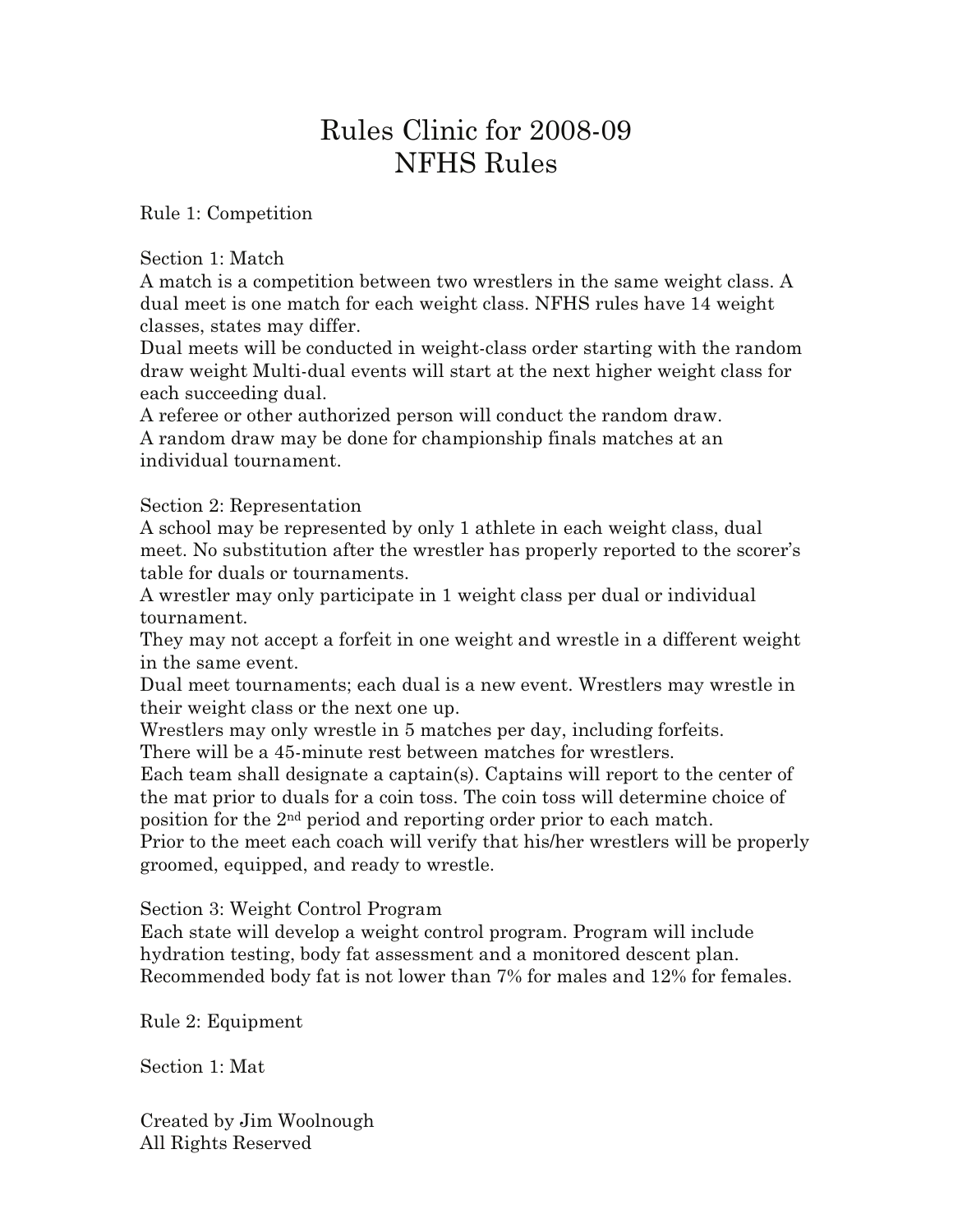# Rules Clinic for 2008-09 NFHS Rules

Rule 1: Competition

Section 1: Match

A match is a competition between two wrestlers in the same weight class. A dual meet is one match for each weight class. NFHS rules have 14 weight classes, states may differ.

Dual meets will be conducted in weight-class order starting with the random draw weight Multi-dual events will start at the next higher weight class for each succeeding dual.

A referee or other authorized person will conduct the random draw. A random draw may be done for championship finals matches at an individual tournament.

Section 2: Representation

A school may be represented by only 1 athlete in each weight class, dual meet. No substitution after the wrestler has properly reported to the scorer's table for duals or tournaments.

A wrestler may only participate in 1 weight class per dual or individual tournament.

They may not accept a forfeit in one weight and wrestle in a different weight in the same event.

Dual meet tournaments; each dual is a new event. Wrestlers may wrestle in their weight class or the next one up.

Wrestlers may only wrestle in 5 matches per day, including forfeits. There will be a 45-minute rest between matches for wrestlers.

Each team shall designate a captain(s). Captains will report to the center of the mat prior to duals for a coin toss. The coin toss will determine choice of position for the 2nd period and reporting order prior to each match. Prior to the meet each coach will verify that his/her wrestlers will be properly

groomed, equipped, and ready to wrestle.

Section 3: Weight Control Program

Each state will develop a weight control program. Program will include hydration testing, body fat assessment and a monitored descent plan. Recommended body fat is not lower than 7% for males and 12% for females.

Rule 2: Equipment

Section 1: Mat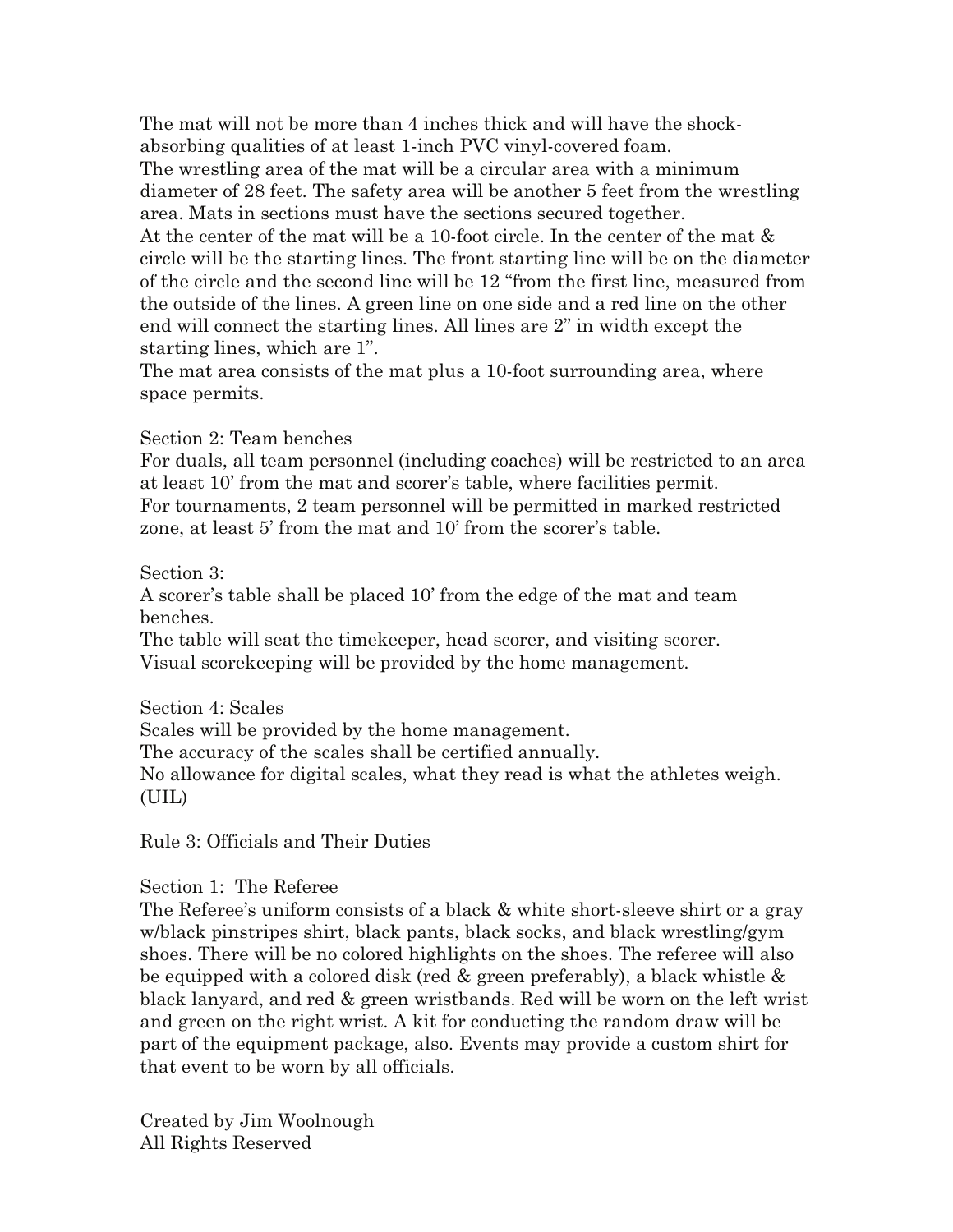The mat will not be more than 4 inches thick and will have the shockabsorbing qualities of at least 1-inch PVC vinyl-covered foam. The wrestling area of the mat will be a circular area with a minimum diameter of 28 feet. The safety area will be another 5 feet from the wrestling area. Mats in sections must have the sections secured together. At the center of the mat will be a 10-foot circle. In the center of the mat & circle will be the starting lines. The front starting line will be on the diameter of the circle and the second line will be 12 "from the first line, measured from the outside of the lines. A green line on one side and a red line on the other end will connect the starting lines. All lines are 2" in width except the starting lines, which are 1".

The mat area consists of the mat plus a 10-foot surrounding area, where space permits.

Section 2: Team benches

For duals, all team personnel (including coaches) will be restricted to an area at least 10' from the mat and scorer's table, where facilities permit. For tournaments, 2 team personnel will be permitted in marked restricted zone, at least 5' from the mat and 10' from the scorer's table.

Section 3:

A scorer's table shall be placed 10' from the edge of the mat and team benches.

The table will seat the timekeeper, head scorer, and visiting scorer. Visual scorekeeping will be provided by the home management.

Section 4: Scales

Scales will be provided by the home management.

The accuracy of the scales shall be certified annually.

No allowance for digital scales, what they read is what the athletes weigh. (UIL)

Rule 3: Officials and Their Duties

Section 1: The Referee

The Referee's uniform consists of a black & white short-sleeve shirt or a gray w/black pinstripes shirt, black pants, black socks, and black wrestling/gym shoes. There will be no colored highlights on the shoes. The referee will also be equipped with a colored disk (red  $\&$  green preferably), a black whistle  $\&$ black lanyard, and red & green wristbands. Red will be worn on the left wrist and green on the right wrist. A kit for conducting the random draw will be part of the equipment package, also. Events may provide a custom shirt for that event to be worn by all officials.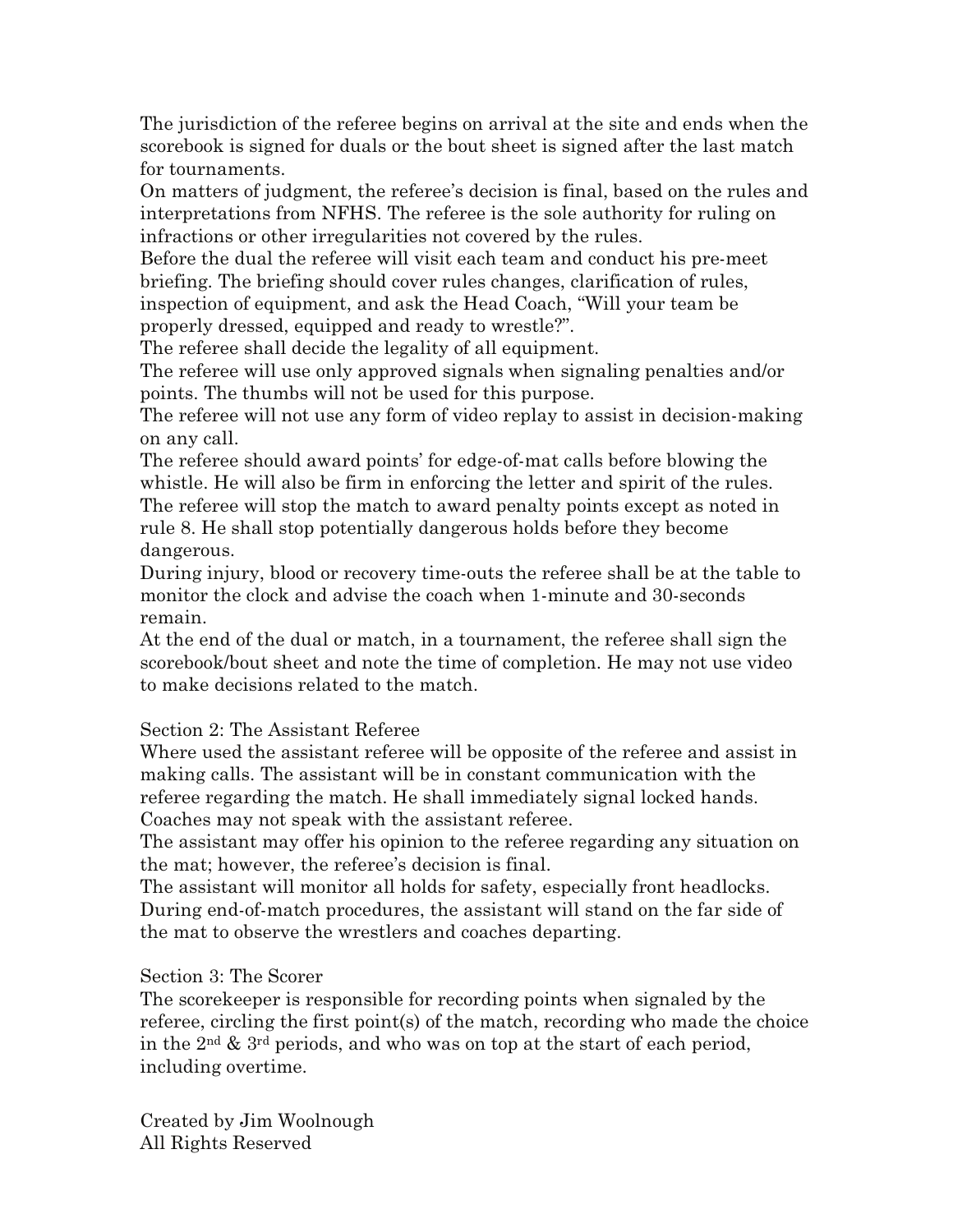The jurisdiction of the referee begins on arrival at the site and ends when the scorebook is signed for duals or the bout sheet is signed after the last match for tournaments.

On matters of judgment, the referee's decision is final, based on the rules and interpretations from NFHS. The referee is the sole authority for ruling on infractions or other irregularities not covered by the rules.

Before the dual the referee will visit each team and conduct his pre-meet briefing. The briefing should cover rules changes, clarification of rules, inspection of equipment, and ask the Head Coach, "Will your team be properly dressed, equipped and ready to wrestle?".

The referee shall decide the legality of all equipment.

The referee will use only approved signals when signaling penalties and/or points. The thumbs will not be used for this purpose.

The referee will not use any form of video replay to assist in decision-making on any call.

The referee should award points' for edge-of-mat calls before blowing the whistle. He will also be firm in enforcing the letter and spirit of the rules. The referee will stop the match to award penalty points except as noted in rule 8. He shall stop potentially dangerous holds before they become dangerous.

During injury, blood or recovery time-outs the referee shall be at the table to monitor the clock and advise the coach when 1-minute and 30-seconds remain.

At the end of the dual or match, in a tournament, the referee shall sign the scorebook/bout sheet and note the time of completion. He may not use video to make decisions related to the match.

Section 2: The Assistant Referee

Where used the assistant referee will be opposite of the referee and assist in making calls. The assistant will be in constant communication with the referee regarding the match. He shall immediately signal locked hands. Coaches may not speak with the assistant referee.

The assistant may offer his opinion to the referee regarding any situation on the mat; however, the referee's decision is final.

The assistant will monitor all holds for safety, especially front headlocks. During end-of-match procedures, the assistant will stand on the far side of the mat to observe the wrestlers and coaches departing.

# Section 3: The Scorer

The scorekeeper is responsible for recording points when signaled by the referee, circling the first point(s) of the match, recording who made the choice in the  $2<sup>nd</sup>$  &  $3<sup>rd</sup>$  periods, and who was on top at the start of each period, including overtime.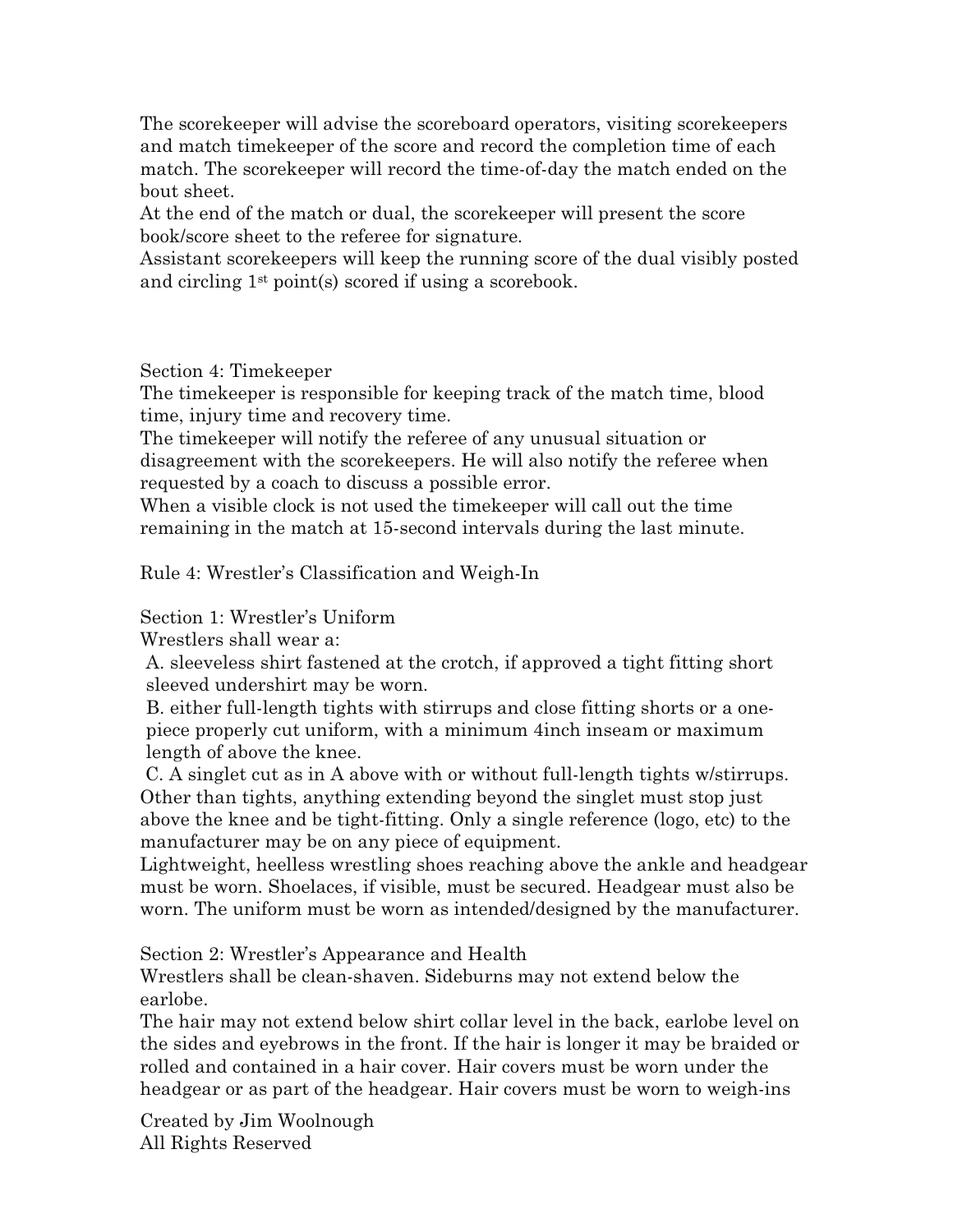The scorekeeper will advise the scoreboard operators, visiting scorekeepers and match timekeeper of the score and record the completion time of each match. The scorekeeper will record the time-of-day the match ended on the bout sheet.

At the end of the match or dual, the scorekeeper will present the score book/score sheet to the referee for signature.

Assistant scorekeepers will keep the running score of the dual visibly posted and circling 1st point(s) scored if using a scorebook.

Section 4: Timekeeper

The timekeeper is responsible for keeping track of the match time, blood time, injury time and recovery time.

The timekeeper will notify the referee of any unusual situation or disagreement with the scorekeepers. He will also notify the referee when requested by a coach to discuss a possible error.

When a visible clock is not used the timekeeper will call out the time remaining in the match at 15-second intervals during the last minute.

Rule 4: Wrestler's Classification and Weigh-In

Section 1: Wrestler's Uniform

Wrestlers shall wear a:

A. sleeveless shirt fastened at the crotch, if approved a tight fitting short sleeved undershirt may be worn.

B. either full-length tights with stirrups and close fitting shorts or a onepiece properly cut uniform, with a minimum 4inch inseam or maximum length of above the knee.

C. A singlet cut as in A above with or without full-length tights w/stirrups. Other than tights, anything extending beyond the singlet must stop just above the knee and be tight-fitting. Only a single reference (logo, etc) to the manufacturer may be on any piece of equipment.

Lightweight, heelless wrestling shoes reaching above the ankle and headgear must be worn. Shoelaces, if visible, must be secured. Headgear must also be worn. The uniform must be worn as intended/designed by the manufacturer.

Section 2: Wrestler's Appearance and Health

Wrestlers shall be clean-shaven. Sideburns may not extend below the earlobe.

The hair may not extend below shirt collar level in the back, earlobe level on the sides and eyebrows in the front. If the hair is longer it may be braided or rolled and contained in a hair cover. Hair covers must be worn under the headgear or as part of the headgear. Hair covers must be worn to weigh-ins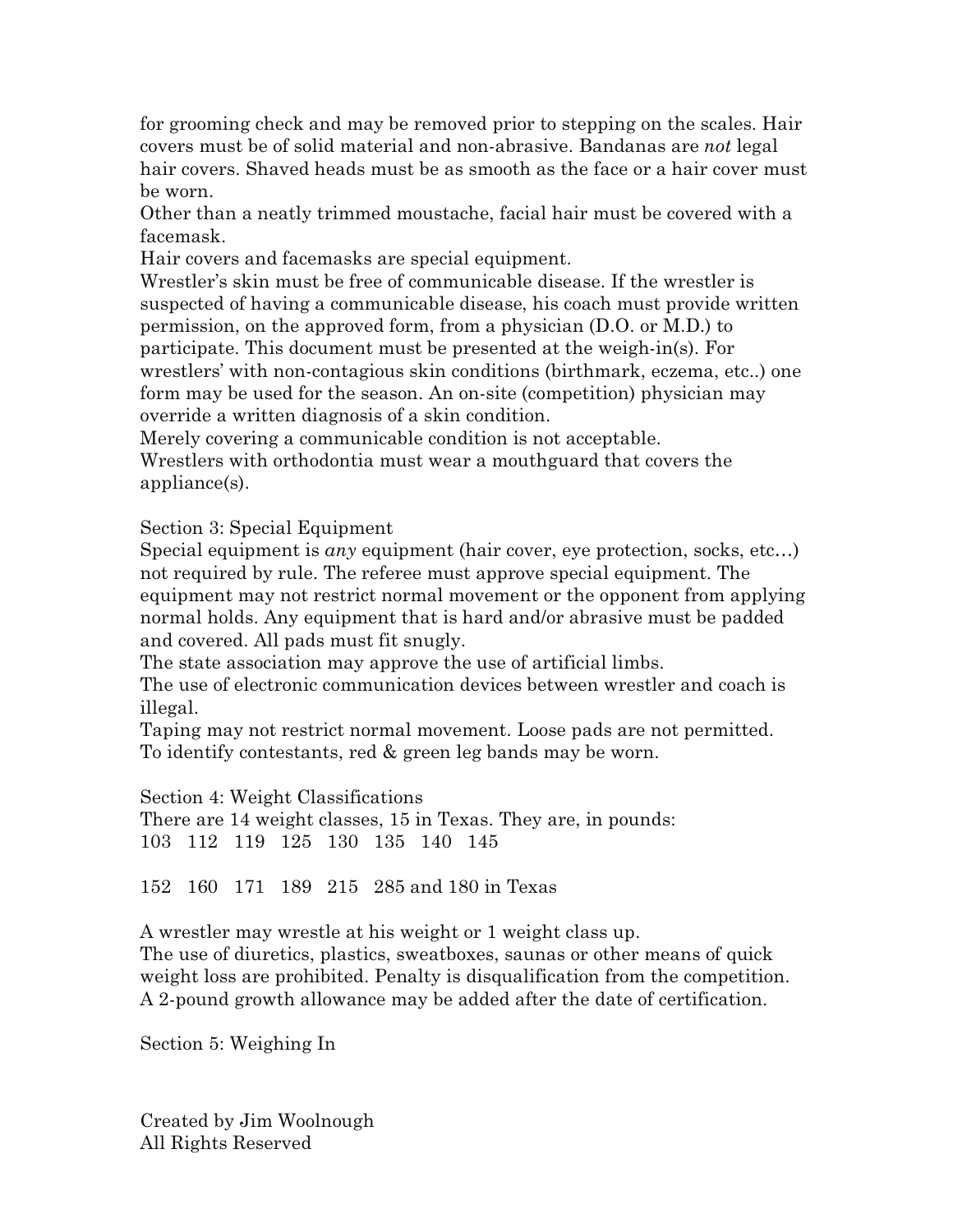for grooming check and may be removed prior to stepping on the scales. Hair covers must be of solid material and non-abrasive. Bandanas are *not* legal hair covers. Shaved heads must be as smooth as the face or a hair cover must be worn.

Other than a neatly trimmed moustache, facial hair must be covered with a facemask.

Hair covers and facemasks are special equipment.

Wrestler's skin must be free of communicable disease. If the wrestler is suspected of having a communicable disease, his coach must provide written permission, on the approved form, from a physician (D.O. or M.D.) to participate. This document must be presented at the weigh-in(s). For wrestlers' with non-contagious skin conditions (birthmark, eczema, etc..) one form may be used for the season. An on-site (competition) physician may override a written diagnosis of a skin condition.

Merely covering a communicable condition is not acceptable.

Wrestlers with orthodontia must wear a mouthguard that covers the appliance(s).

Section 3: Special Equipment

Special equipment is *any* equipment (hair cover, eye protection, socks, etc…) not required by rule. The referee must approve special equipment. The equipment may not restrict normal movement or the opponent from applying normal holds. Any equipment that is hard and/or abrasive must be padded and covered. All pads must fit snugly.

The state association may approve the use of artificial limbs.

The use of electronic communication devices between wrestler and coach is illegal.

Taping may not restrict normal movement. Loose pads are not permitted. To identify contestants, red & green leg bands may be worn.

Section 4: Weight Classifications

There are 14 weight classes, 15 in Texas. They are, in pounds: 103 112 119 125 130 135 140 145

152 160 171 189 215 285 and 180 in Texas

A wrestler may wrestle at his weight or 1 weight class up. The use of diuretics, plastics, sweatboxes, saunas or other means of quick weight loss are prohibited. Penalty is disqualification from the competition. A 2-pound growth allowance may be added after the date of certification.

Section 5: Weighing In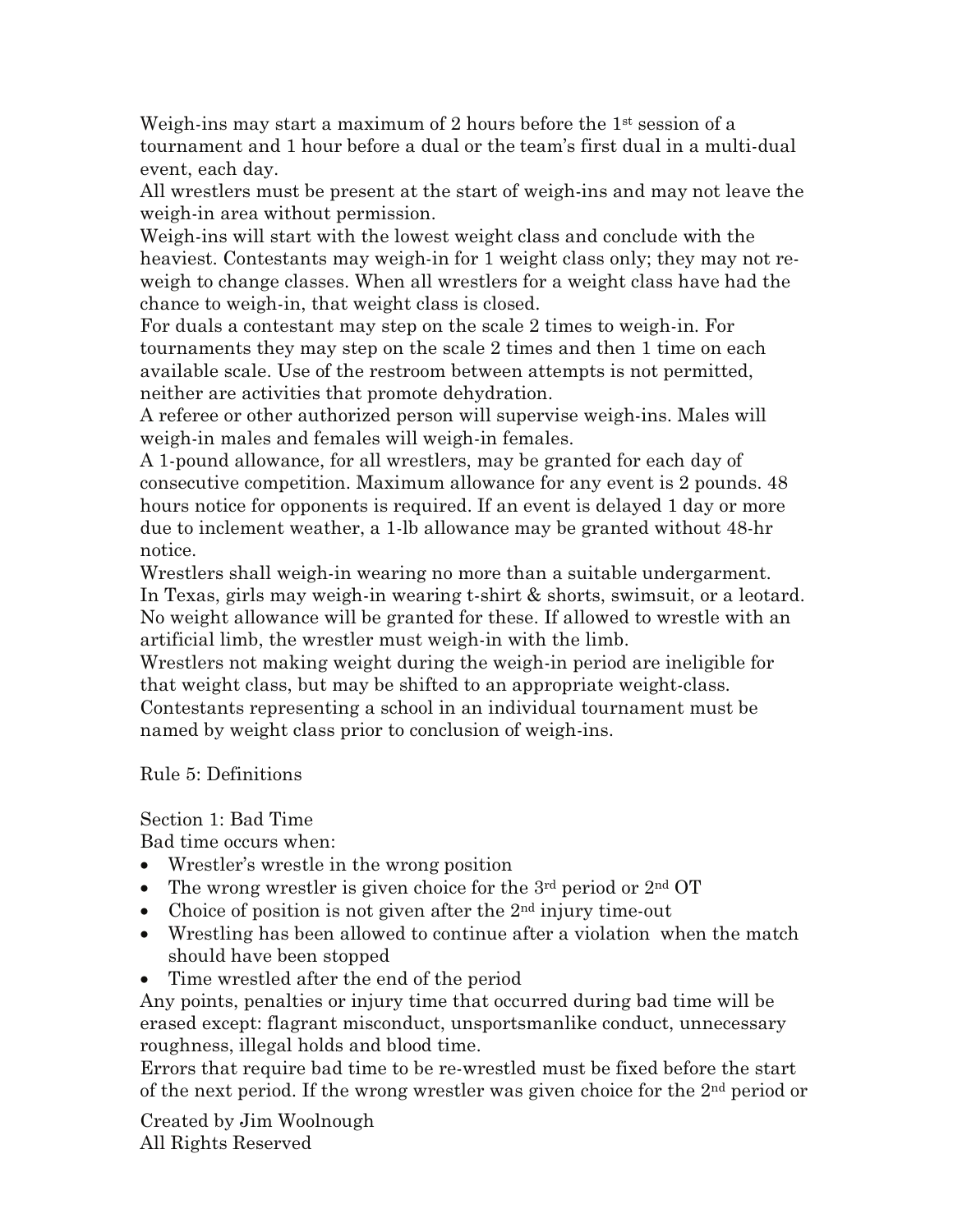Weigh-ins may start a maximum of 2 hours before the  $1<sup>st</sup>$  session of a tournament and 1 hour before a dual or the team's first dual in a multi-dual event, each day.

All wrestlers must be present at the start of weigh-ins and may not leave the weigh-in area without permission.

Weigh-ins will start with the lowest weight class and conclude with the heaviest. Contestants may weigh-in for 1 weight class only; they may not reweigh to change classes. When all wrestlers for a weight class have had the chance to weigh-in, that weight class is closed.

For duals a contestant may step on the scale 2 times to weigh-in. For tournaments they may step on the scale 2 times and then 1 time on each available scale. Use of the restroom between attempts is not permitted, neither are activities that promote dehydration.

A referee or other authorized person will supervise weigh-ins. Males will weigh-in males and females will weigh-in females.

A 1-pound allowance, for all wrestlers, may be granted for each day of consecutive competition. Maximum allowance for any event is 2 pounds. 48 hours notice for opponents is required. If an event is delayed 1 day or more due to inclement weather, a 1-lb allowance may be granted without 48-hr notice.

Wrestlers shall weigh-in wearing no more than a suitable undergarment. In Texas, girls may weigh-in wearing t-shirt & shorts, swimsuit, or a leotard. No weight allowance will be granted for these. If allowed to wrestle with an artificial limb, the wrestler must weigh-in with the limb.

Wrestlers not making weight during the weigh-in period are ineligible for that weight class, but may be shifted to an appropriate weight-class. Contestants representing a school in an individual tournament must be named by weight class prior to conclusion of weigh-ins.

Rule 5: Definitions

Section 1: Bad Time

Bad time occurs when:

- Wrestler's wrestle in the wrong position
- The wrong wrestler is given choice for the  $3<sup>rd</sup>$  period or  $2<sup>nd</sup>$  OT
- Choice of position is not given after the  $2<sup>nd</sup>$  injury time-out
- Wrestling has been allowed to continue after a violation when the match should have been stopped
- Time wrestled after the end of the period

Any points, penalties or injury time that occurred during bad time will be erased except: flagrant misconduct, unsportsmanlike conduct, unnecessary roughness, illegal holds and blood time.

Errors that require bad time to be re-wrestled must be fixed before the start of the next period. If the wrong wrestler was given choice for the  $2<sup>nd</sup>$  period or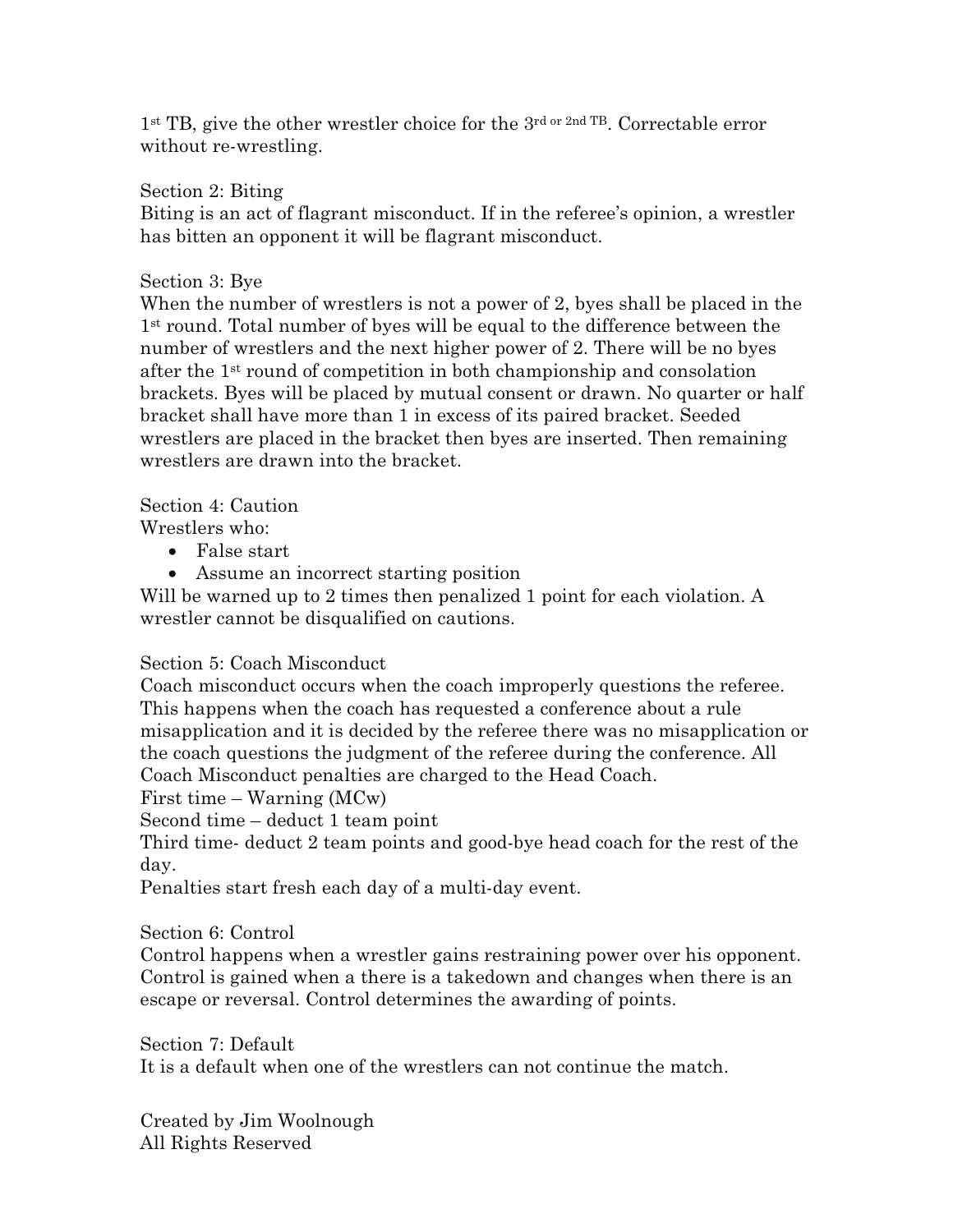$1<sup>st</sup> TB$ , give the other wrestler choice for the  $3<sup>rd</sup> or 2<sup>nd</sup> TB$ . Correctable error without re-wrestling.

Section 2: Biting

Biting is an act of flagrant misconduct. If in the referee's opinion, a wrestler has bitten an opponent it will be flagrant misconduct.

# Section 3: Bye

When the number of wrestlers is not a power of 2, byes shall be placed in the 1st round. Total number of byes will be equal to the difference between the number of wrestlers and the next higher power of 2. There will be no byes after the 1st round of competition in both championship and consolation brackets. Byes will be placed by mutual consent or drawn. No quarter or half bracket shall have more than 1 in excess of its paired bracket. Seeded wrestlers are placed in the bracket then byes are inserted. Then remaining wrestlers are drawn into the bracket.

Section 4: Caution

Wrestlers who:

- False start
- Assume an incorrect starting position

Will be warned up to 2 times then penalized 1 point for each violation. A wrestler cannot be disqualified on cautions.

# Section 5: Coach Misconduct

Coach misconduct occurs when the coach improperly questions the referee. This happens when the coach has requested a conference about a rule misapplication and it is decided by the referee there was no misapplication or the coach questions the judgment of the referee during the conference. All Coach Misconduct penalties are charged to the Head Coach.

First time – Warning (MCw)

Second time – deduct 1 team point

Third time- deduct 2 team points and good-bye head coach for the rest of the day.

Penalties start fresh each day of a multi-day event.

Section 6: Control

Control happens when a wrestler gains restraining power over his opponent. Control is gained when a there is a takedown and changes when there is an escape or reversal. Control determines the awarding of points.

Section 7: Default It is a default when one of the wrestlers can not continue the match.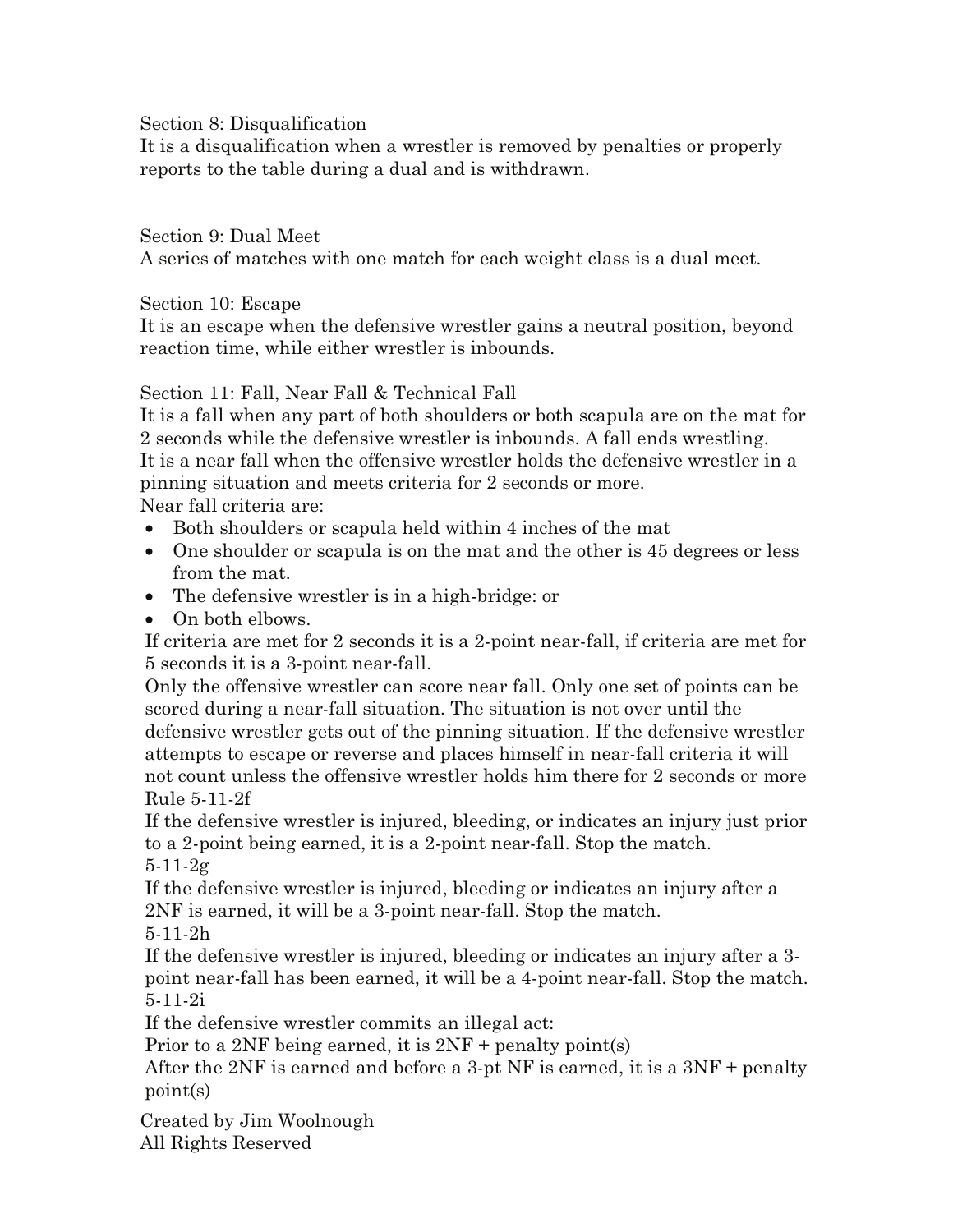Section 8: Disqualification

It is a disqualification when a wrestler is removed by penalties or properly reports to the table during a dual and is withdrawn.

Section 9: Dual Meet

A series of matches with one match for each weight class is a dual meet.

Section 10: Escape

It is an escape when the defensive wrestler gains a neutral position, beyond reaction time, while either wrestler is inbounds.

Section 11: Fall, Near Fall & Technical Fall

It is a fall when any part of both shoulders or both scapula are on the mat for 2 seconds while the defensive wrestler is inbounds. A fall ends wrestling. It is a near fall when the offensive wrestler holds the defensive wrestler in a pinning situation and meets criteria for 2 seconds or more. Near fall criteria are:

- Both shoulders or scapula held within 4 inches of the mat
- One shoulder or scapula is on the mat and the other is 45 degrees or less from the mat.
- The defensive wrestler is in a high-bridge: or
- On both elbows.

If criteria are met for 2 seconds it is a 2-point near-fall, if criteria are met for 5 seconds it is a 3-point near-fall.

Only the offensive wrestler can score near fall. Only one set of points can be scored during a near-fall situation. The situation is not over until the defensive wrestler gets out of the pinning situation. If the defensive wrestler attempts to escape or reverse and places himself in near-fall criteria it will not count unless the offensive wrestler holds him there for 2 seconds or more Rule 5-11-2f

If the defensive wrestler is injured, bleeding, or indicates an injury just prior to a 2-point being earned, it is a 2-point near-fall. Stop the match. 5-11-2g

If the defensive wrestler is injured, bleeding or indicates an injury after a 2NF is earned, it will be a 3-point near-fall. Stop the match.

5-11-2h

If the defensive wrestler is injured, bleeding or indicates an injury after a 3 point near-fall has been earned, it will be a 4-point near-fall. Stop the match. 5-11-2i

If the defensive wrestler commits an illegal act:

Prior to a 2NF being earned, it is 2NF + penalty point(s)

After the 2NF is earned and before a 3-pt NF is earned, it is a 3NF + penalty point(s)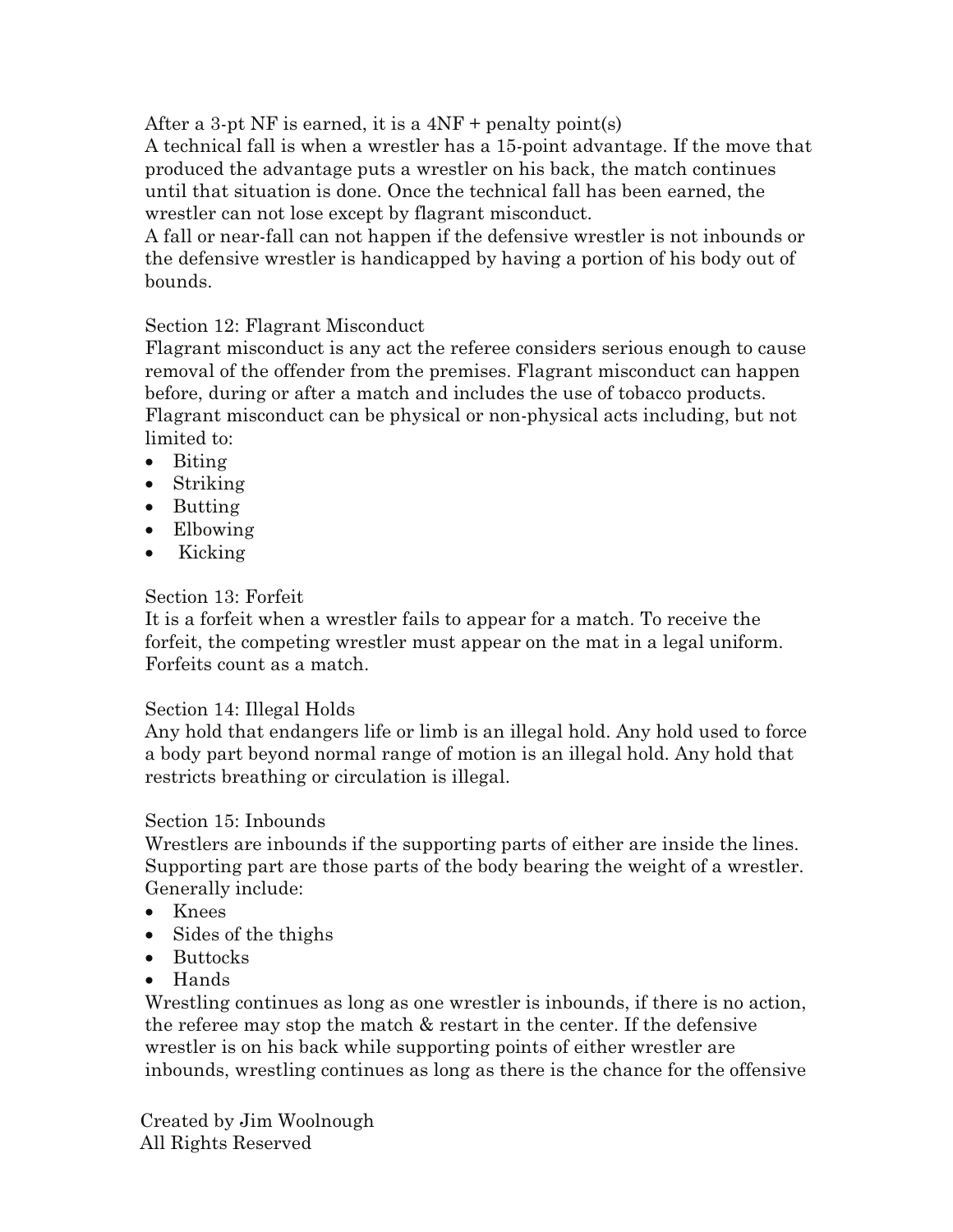After a 3-pt NF is earned, it is a  $4NF$  + penalty point(s)

A technical fall is when a wrestler has a 15-point advantage. If the move that produced the advantage puts a wrestler on his back, the match continues until that situation is done. Once the technical fall has been earned, the wrestler can not lose except by flagrant misconduct.

A fall or near-fall can not happen if the defensive wrestler is not inbounds or the defensive wrestler is handicapped by having a portion of his body out of bounds.

# Section 12: Flagrant Misconduct

Flagrant misconduct is any act the referee considers serious enough to cause removal of the offender from the premises. Flagrant misconduct can happen before, during or after a match and includes the use of tobacco products. Flagrant misconduct can be physical or non-physical acts including, but not limited to:

- Biting
- Striking
- Butting
- Elbowing
- Kicking

# Section 13: Forfeit

It is a forfeit when a wrestler fails to appear for a match. To receive the forfeit, the competing wrestler must appear on the mat in a legal uniform. Forfeits count as a match.

# Section 14: Illegal Holds

Any hold that endangers life or limb is an illegal hold. Any hold used to force a body part beyond normal range of motion is an illegal hold. Any hold that restricts breathing or circulation is illegal.

# Section 15: Inbounds

Wrestlers are inbounds if the supporting parts of either are inside the lines. Supporting part are those parts of the body bearing the weight of a wrestler. Generally include:

- Knees
- Sides of the thighs
- Buttocks
- Hands

Wrestling continues as long as one wrestler is inbounds, if there is no action, the referee may stop the match & restart in the center. If the defensive wrestler is on his back while supporting points of either wrestler are inbounds, wrestling continues as long as there is the chance for the offensive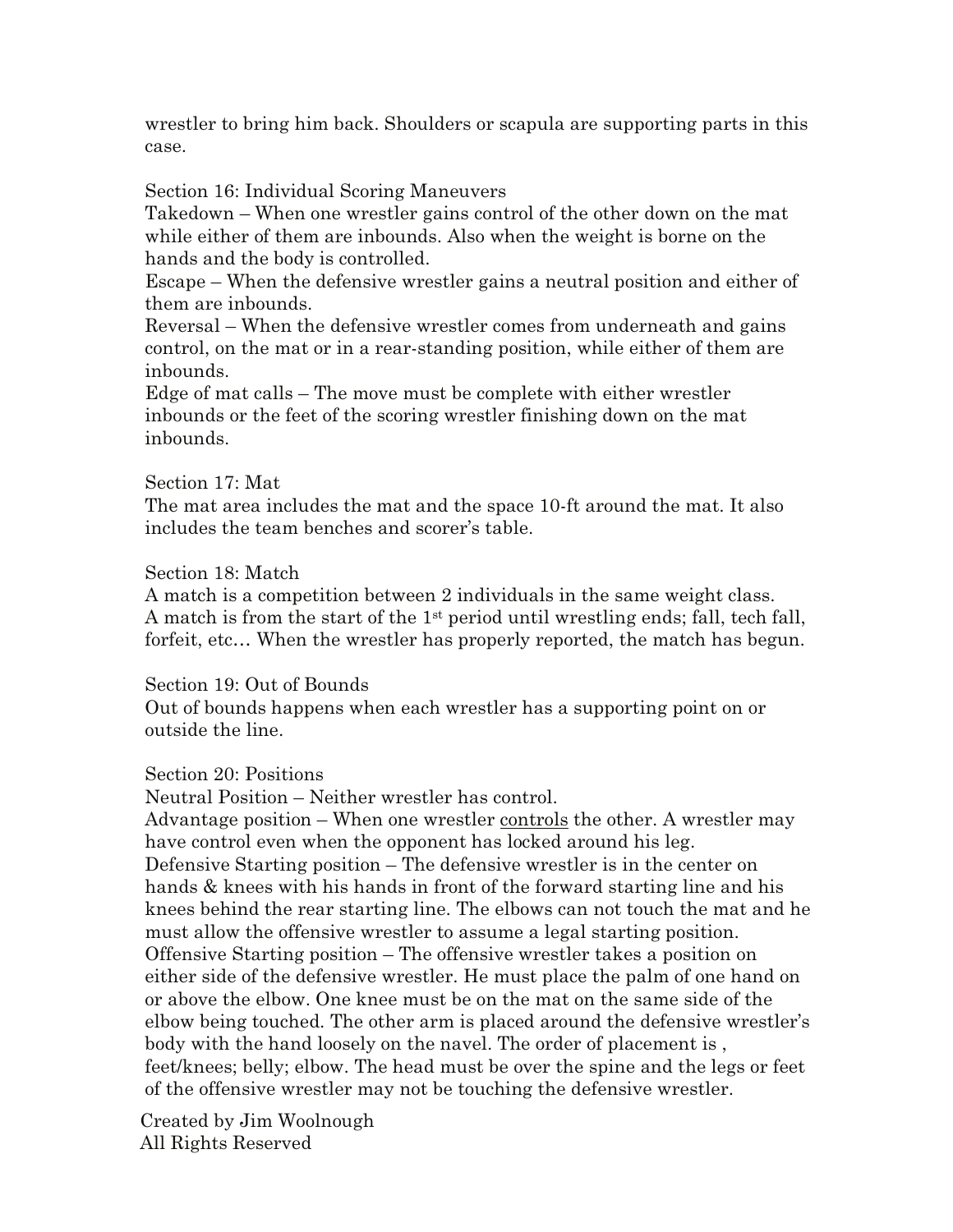wrestler to bring him back. Shoulders or scapula are supporting parts in this case.

Section 16: Individual Scoring Maneuvers

Takedown – When one wrestler gains control of the other down on the mat while either of them are inbounds. Also when the weight is borne on the hands and the body is controlled.

Escape – When the defensive wrestler gains a neutral position and either of them are inbounds.

Reversal – When the defensive wrestler comes from underneath and gains control, on the mat or in a rear-standing position, while either of them are inbounds.

Edge of mat calls – The move must be complete with either wrestler inbounds or the feet of the scoring wrestler finishing down on the mat inbounds.

## Section 17: Mat

The mat area includes the mat and the space 10-ft around the mat. It also includes the team benches and scorer's table.

# Section 18: Match

A match is a competition between 2 individuals in the same weight class. A match is from the start of the  $1<sup>st</sup>$  period until wrestling ends; fall, tech fall, forfeit, etc… When the wrestler has properly reported, the match has begun.

#### Section 19: Out of Bounds

Out of bounds happens when each wrestler has a supporting point on or outside the line.

# Section 20: Positions

Neutral Position – Neither wrestler has control.

Advantage position – When one wrestler controls the other. A wrestler may have control even when the opponent has locked around his leg. Defensive Starting position – The defensive wrestler is in the center on hands & knees with his hands in front of the forward starting line and his knees behind the rear starting line. The elbows can not touch the mat and he must allow the offensive wrestler to assume a legal starting position. Offensive Starting position – The offensive wrestler takes a position on either side of the defensive wrestler. He must place the palm of one hand on or above the elbow. One knee must be on the mat on the same side of the elbow being touched. The other arm is placed around the defensive wrestler's body with the hand loosely on the navel. The order of placement is , feet/knees; belly; elbow. The head must be over the spine and the legs or feet of the offensive wrestler may not be touching the defensive wrestler.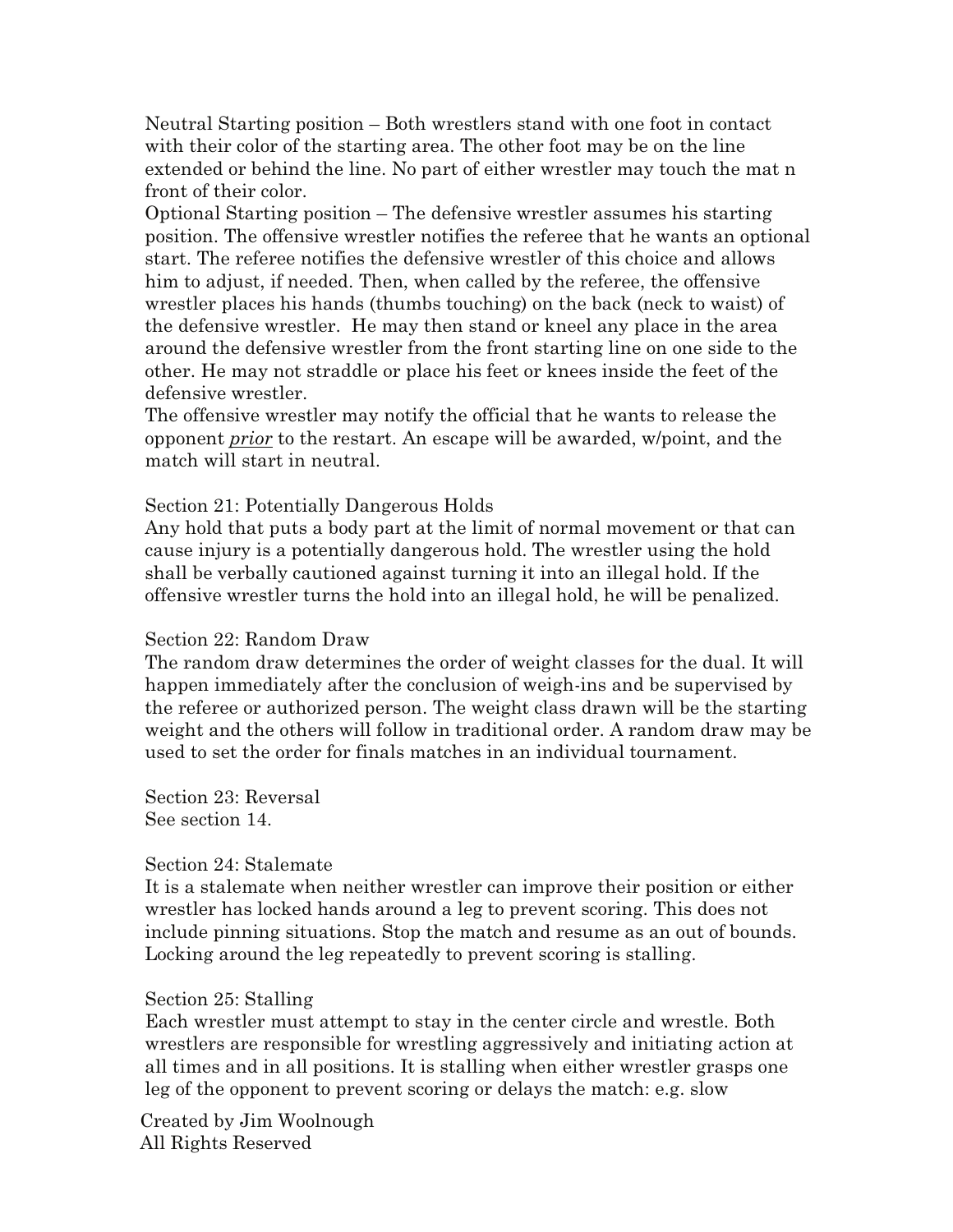Neutral Starting position – Both wrestlers stand with one foot in contact with their color of the starting area. The other foot may be on the line extended or behind the line. No part of either wrestler may touch the mat n front of their color.

Optional Starting position – The defensive wrestler assumes his starting position. The offensive wrestler notifies the referee that he wants an optional start. The referee notifies the defensive wrestler of this choice and allows him to adjust, if needed. Then, when called by the referee, the offensive wrestler places his hands (thumbs touching) on the back (neck to waist) of the defensive wrestler. He may then stand or kneel any place in the area around the defensive wrestler from the front starting line on one side to the other. He may not straddle or place his feet or knees inside the feet of the defensive wrestler.

The offensive wrestler may notify the official that he wants to release the opponent *prior* to the restart. An escape will be awarded, w/point, and the match will start in neutral.

#### Section 21: Potentially Dangerous Holds

Any hold that puts a body part at the limit of normal movement or that can cause injury is a potentially dangerous hold. The wrestler using the hold shall be verbally cautioned against turning it into an illegal hold. If the offensive wrestler turns the hold into an illegal hold, he will be penalized.

#### Section 22: Random Draw

The random draw determines the order of weight classes for the dual. It will happen immediately after the conclusion of weigh-ins and be supervised by the referee or authorized person. The weight class drawn will be the starting weight and the others will follow in traditional order. A random draw may be used to set the order for finals matches in an individual tournament.

Section 23: Reversal See section 14.

#### Section 24: Stalemate

It is a stalemate when neither wrestler can improve their position or either wrestler has locked hands around a leg to prevent scoring. This does not include pinning situations. Stop the match and resume as an out of bounds. Locking around the leg repeatedly to prevent scoring is stalling.

#### Section 25: Stalling

Each wrestler must attempt to stay in the center circle and wrestle. Both wrestlers are responsible for wrestling aggressively and initiating action at all times and in all positions. It is stalling when either wrestler grasps one leg of the opponent to prevent scoring or delays the match: e.g. slow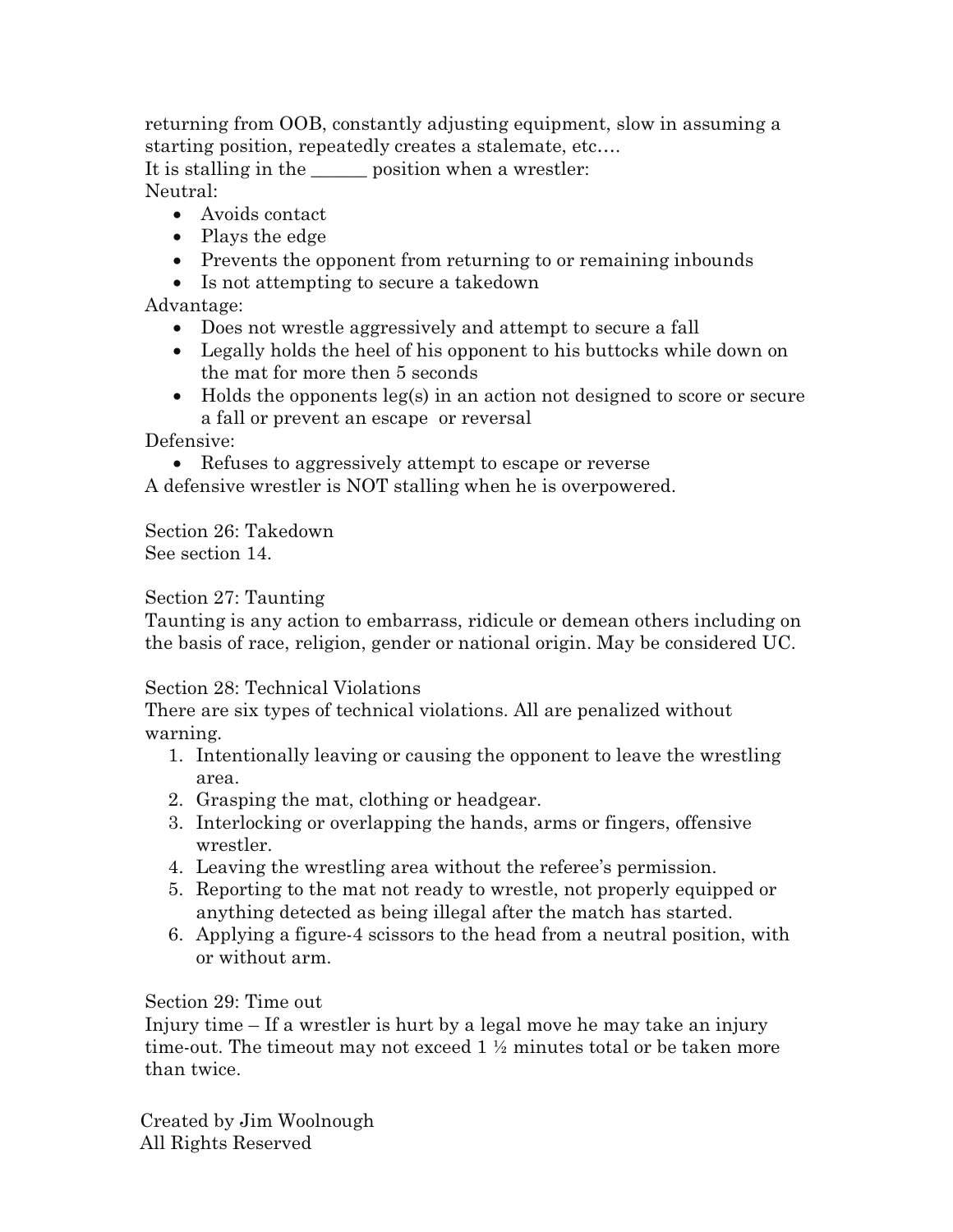returning from OOB, constantly adjusting equipment, slow in assuming a starting position, repeatedly creates a stalemate, etc…. It is stalling in the same position when a wrestler: Neutral:

- Avoids contact
- Plays the edge
- Prevents the opponent from returning to or remaining inbounds
- Is not attempting to secure a takedown

# Advantage:

- Does not wrestle aggressively and attempt to secure a fall
- Legally holds the heel of his opponent to his buttocks while down on the mat for more then 5 seconds
- Holds the opponents leg(s) in an action not designed to score or secure a fall or prevent an escape or reversal

Defensive:

• Refuses to aggressively attempt to escape or reverse

A defensive wrestler is NOT stalling when he is overpowered.

Section 26: Takedown See section 14.

## Section 27: Taunting

Taunting is any action to embarrass, ridicule or demean others including on the basis of race, religion, gender or national origin. May be considered UC.

#### Section 28: Technical Violations

There are six types of technical violations. All are penalized without warning.

- 1. Intentionally leaving or causing the opponent to leave the wrestling area.
- 2. Grasping the mat, clothing or headgear.
- 3. Interlocking or overlapping the hands, arms or fingers, offensive wrestler.
- 4. Leaving the wrestling area without the referee's permission.
- 5. Reporting to the mat not ready to wrestle, not properly equipped or anything detected as being illegal after the match has started.
- 6. Applying a figure-4 scissors to the head from a neutral position, with or without arm.

# Section 29: Time out

Injury time – If a wrestler is hurt by a legal move he may take an injury time-out. The timeout may not exceed  $1 \frac{1}{2}$  minutes total or be taken more than twice.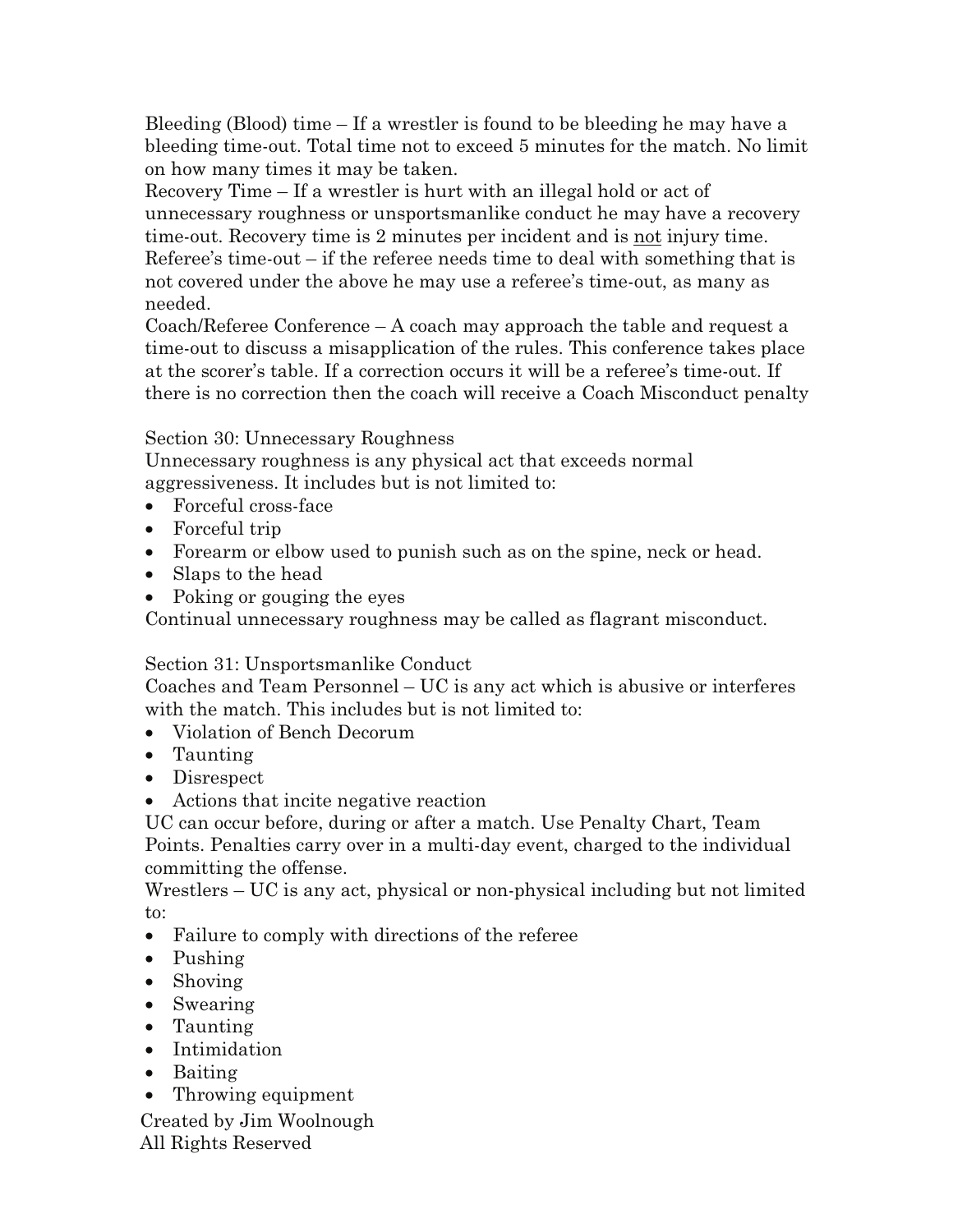Bleeding (Blood) time – If a wrestler is found to be bleeding he may have a bleeding time-out. Total time not to exceed 5 minutes for the match. No limit on how many times it may be taken.

Recovery Time – If a wrestler is hurt with an illegal hold or act of unnecessary roughness or unsportsmanlike conduct he may have a recovery time-out. Recovery time is 2 minutes per incident and is not injury time. Referee's time-out – if the referee needs time to deal with something that is not covered under the above he may use a referee's time-out, as many as needed.

Coach/Referee Conference – A coach may approach the table and request a time-out to discuss a misapplication of the rules. This conference takes place at the scorer's table. If a correction occurs it will be a referee's time-out. If there is no correction then the coach will receive a Coach Misconduct penalty

# Section 30: Unnecessary Roughness

Unnecessary roughness is any physical act that exceeds normal aggressiveness. It includes but is not limited to:

- Forceful cross-face
- Forceful trip
- Forearm or elbow used to punish such as on the spine, neck or head.
- Slaps to the head
- Poking or gouging the eyes

Continual unnecessary roughness may be called as flagrant misconduct.

# Section 31: Unsportsmanlike Conduct

Coaches and Team Personnel – UC is any act which is abusive or interferes with the match. This includes but is not limited to:

- Violation of Bench Decorum
- Taunting
- Disrespect
- Actions that incite negative reaction

UC can occur before, during or after a match. Use Penalty Chart, Team Points. Penalties carry over in a multi-day event, charged to the individual committing the offense.

Wrestlers – UC is any act, physical or non-physical including but not limited to:

- Failure to comply with directions of the referee
- Pushing
- Shoving
- Swearing
- Taunting
- Intimidation
- Baiting
- Throwing equipment

Created by Jim Woolnough

All Rights Reserved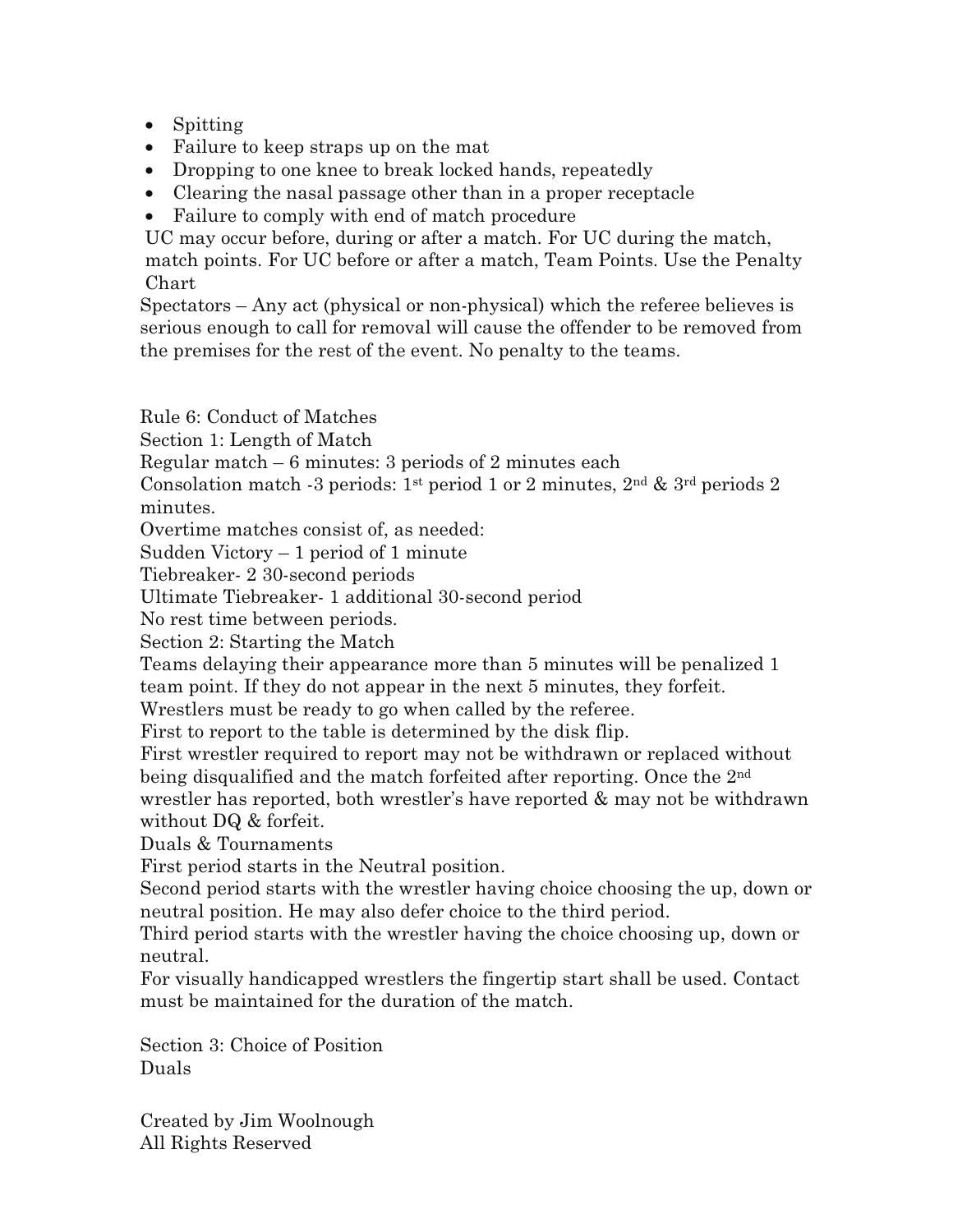- Spitting
- Failure to keep straps up on the mat
- Dropping to one knee to break locked hands, repeatedly
- Clearing the nasal passage other than in a proper receptacle
- Failure to comply with end of match procedure

UC may occur before, during or after a match. For UC during the match, match points. For UC before or after a match, Team Points. Use the Penalty Chart

Spectators – Any act (physical or non-physical) which the referee believes is serious enough to call for removal will cause the offender to be removed from the premises for the rest of the event. No penalty to the teams.

Rule 6: Conduct of Matches

Section 1: Length of Match

Regular match – 6 minutes: 3 periods of 2 minutes each

Consolation match -3 periods: 1<sup>st</sup> period 1 or 2 minutes, 2<sup>nd</sup> & 3<sup>rd</sup> periods 2 minutes.

Overtime matches consist of, as needed:

Sudden Victory – 1 period of 1 minute

Tiebreaker- 2 30-second periods

Ultimate Tiebreaker- 1 additional 30-second period

No rest time between periods.

Section 2: Starting the Match

Teams delaying their appearance more than 5 minutes will be penalized 1 team point. If they do not appear in the next 5 minutes, they forfeit.

Wrestlers must be ready to go when called by the referee.

First to report to the table is determined by the disk flip.

First wrestler required to report may not be withdrawn or replaced without being disqualified and the match forfeited after reporting. Once the 2<sup>nd</sup> wrestler has reported, both wrestler's have reported & may not be withdrawn without DQ & forfeit.

Duals & Tournaments

First period starts in the Neutral position.

Second period starts with the wrestler having choice choosing the up, down or neutral position. He may also defer choice to the third period.

Third period starts with the wrestler having the choice choosing up, down or neutral.

For visually handicapped wrestlers the fingertip start shall be used. Contact must be maintained for the duration of the match.

Section 3: Choice of Position Duals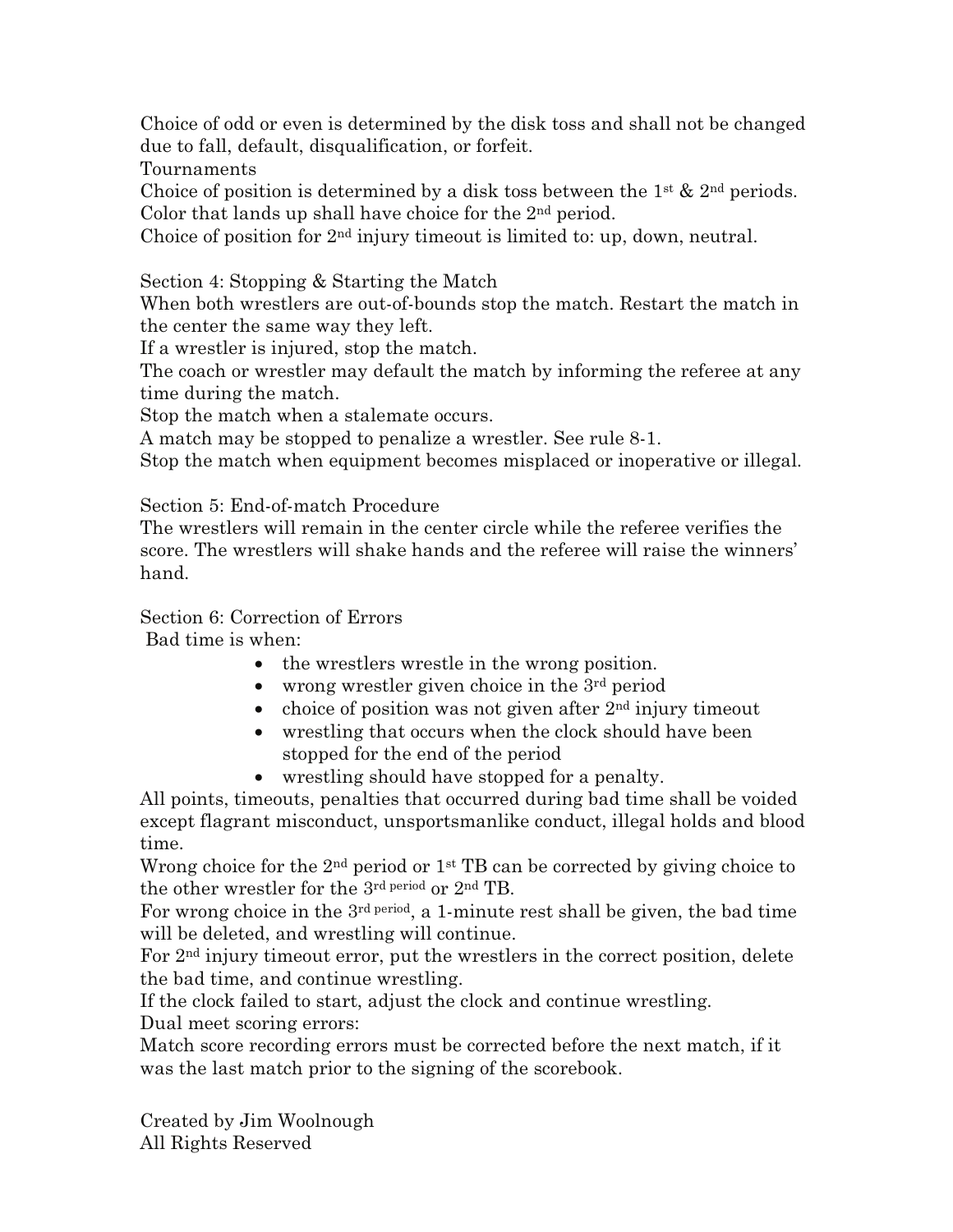Choice of odd or even is determined by the disk toss and shall not be changed due to fall, default, disqualification, or forfeit.

Tournaments

Choice of position is determined by a disk toss between the  $1^{st}$  &  $2^{nd}$  periods. Color that lands up shall have choice for the 2nd period.

Choice of position for  $2<sup>nd</sup>$  injury timeout is limited to: up, down, neutral.

Section 4: Stopping & Starting the Match

When both wrestlers are out-of-bounds stop the match. Restart the match in the center the same way they left.

If a wrestler is injured, stop the match.

The coach or wrestler may default the match by informing the referee at any time during the match.

Stop the match when a stalemate occurs.

A match may be stopped to penalize a wrestler. See rule 8-1.

Stop the match when equipment becomes misplaced or inoperative or illegal.

Section 5: End-of-match Procedure

The wrestlers will remain in the center circle while the referee verifies the score. The wrestlers will shake hands and the referee will raise the winners' hand.

# Section 6: Correction of Errors

Bad time is when:

- the wrestlers wrestle in the wrong position.
- wrong wrestler given choice in the  $3<sup>rd</sup>$  period
- choice of position was not given after  $2<sup>nd</sup>$  injury timeout
- wrestling that occurs when the clock should have been stopped for the end of the period
- wrestling should have stopped for a penalty.

All points, timeouts, penalties that occurred during bad time shall be voided except flagrant misconduct, unsportsmanlike conduct, illegal holds and blood time.

Wrong choice for the  $2<sup>nd</sup>$  period or  $1<sup>st</sup>$  TB can be corrected by giving choice to the other wrestler for the 3rd period or 2nd TB.

For wrong choice in the 3rd period, a 1-minute rest shall be given, the bad time will be deleted, and wrestling will continue.

For 2nd injury timeout error, put the wrestlers in the correct position, delete the bad time, and continue wrestling.

If the clock failed to start, adjust the clock and continue wrestling.

Dual meet scoring errors:

Match score recording errors must be corrected before the next match, if it was the last match prior to the signing of the scorebook.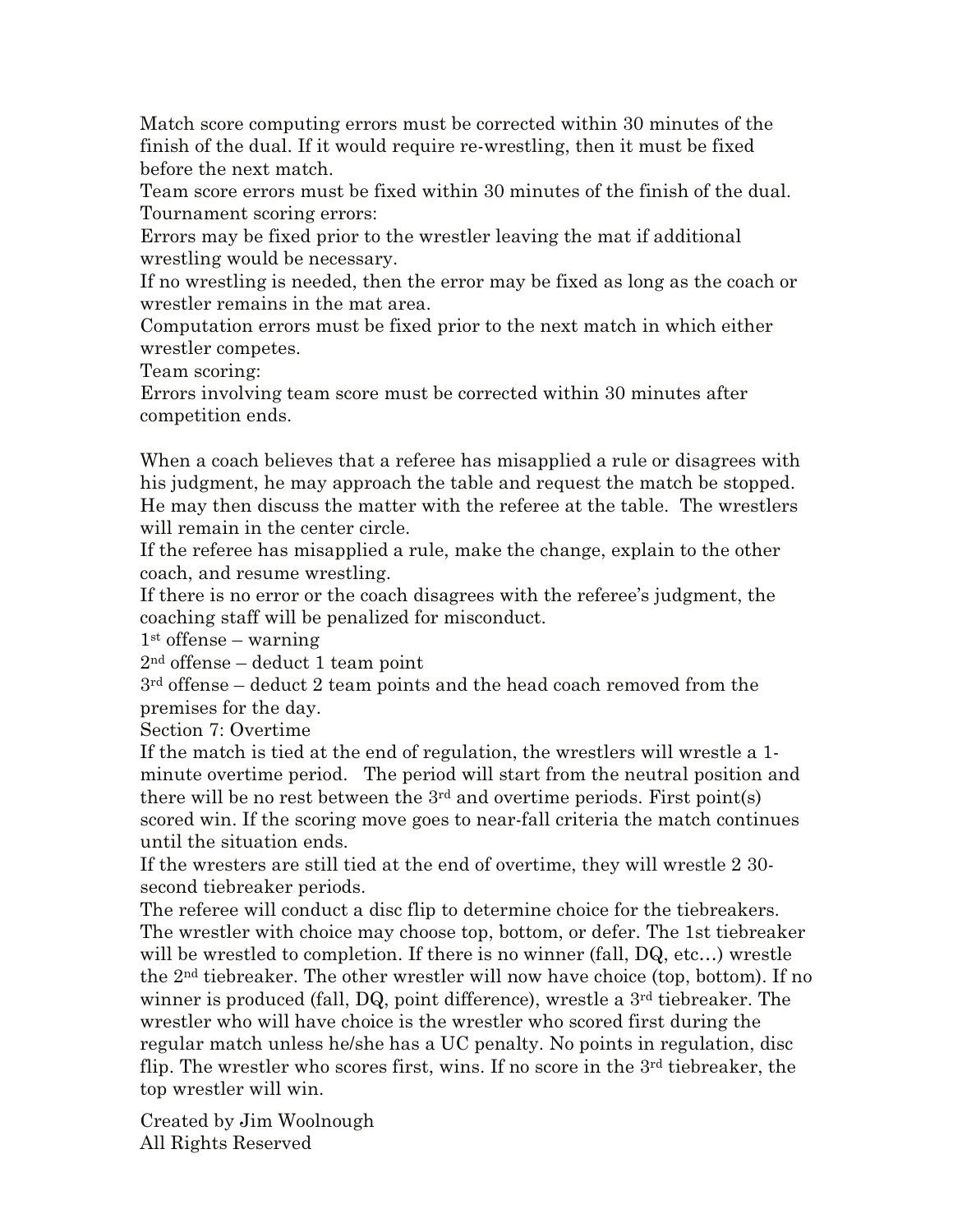Match score computing errors must be corrected within 30 minutes of the finish of the dual. If it would require re-wrestling, then it must be fixed before the next match.

Team score errors must be fixed within 30 minutes of the finish of the dual. Tournament scoring errors:

Errors may be fixed prior to the wrestler leaving the mat if additional wrestling would be necessary.

If no wrestling is needed, then the error may be fixed as long as the coach or wrestler remains in the mat area.

Computation errors must be fixed prior to the next match in which either wrestler competes.

Team scoring:

Errors involving team score must be corrected within 30 minutes after competition ends.

When a coach believes that a referee has misapplied a rule or disagrees with his judgment, he may approach the table and request the match be stopped. He may then discuss the matter with the referee at the table. The wrestlers will remain in the center circle.

If the referee has misapplied a rule, make the change, explain to the other coach, and resume wrestling.

If there is no error or the coach disagrees with the referee's judgment, the coaching staff will be penalized for misconduct.

 $1<sup>st</sup>$  offense – warning

2nd offense – deduct 1 team point

3rd offense – deduct 2 team points and the head coach removed from the premises for the day.

Section 7: Overtime

If the match is tied at the end of regulation, the wrestlers will wrestle a 1 minute overtime period. The period will start from the neutral position and there will be no rest between the  $3<sup>rd</sup>$  and overtime periods. First point(s) scored win. If the scoring move goes to near-fall criteria the match continues until the situation ends.

If the wresters are still tied at the end of overtime, they will wrestle 2 30 second tiebreaker periods.

The referee will conduct a disc flip to determine choice for the tiebreakers. The wrestler with choice may choose top, bottom, or defer. The 1st tiebreaker will be wrestled to completion. If there is no winner (fall, DQ, etc...) wrestle the  $2<sup>nd</sup>$  tiebreaker. The other wrestler will now have choice (top, bottom). If no winner is produced (fall, DQ, point difference), wrestle a 3<sup>rd</sup> tiebreaker. The wrestler who will have choice is the wrestler who scored first during the regular match unless he/she has a UC penalty. No points in regulation, disc flip. The wrestler who scores first, wins. If no score in the 3rd tiebreaker, the top wrestler will win.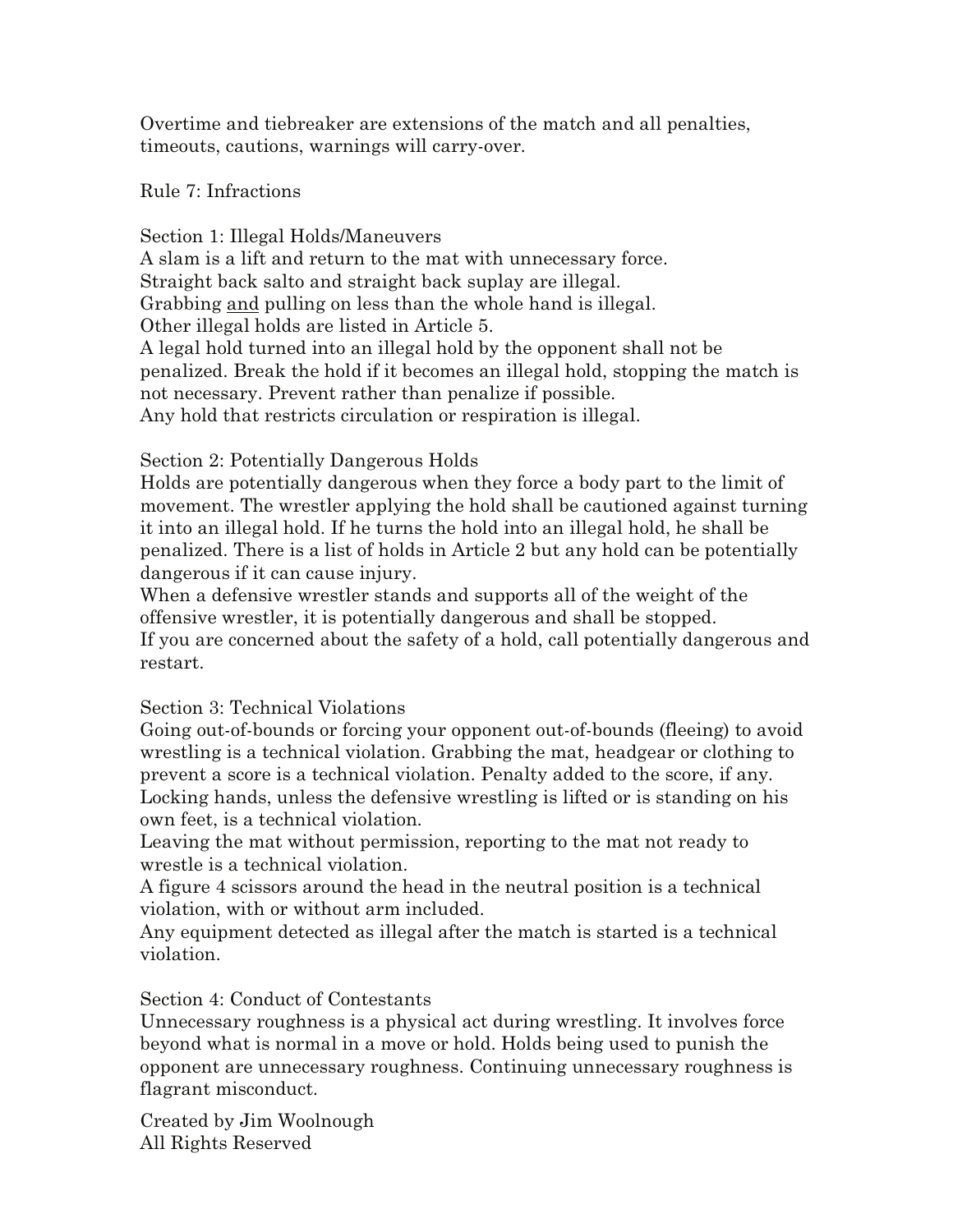Overtime and tiebreaker are extensions of the match and all penalties, timeouts, cautions, warnings will carry-over.

#### Rule 7: Infractions

Section 1: Illegal Holds/Maneuvers A slam is a lift and return to the mat with unnecessary force. Straight back salto and straight back suplay are illegal. Grabbing and pulling on less than the whole hand is illegal. Other illegal holds are listed in Article 5. A legal hold turned into an illegal hold by the opponent shall not be penalized. Break the hold if it becomes an illegal hold, stopping the match is not necessary. Prevent rather than penalize if possible. Any hold that restricts circulation or respiration is illegal.

## Section 2: Potentially Dangerous Holds

Holds are potentially dangerous when they force a body part to the limit of movement. The wrestler applying the hold shall be cautioned against turning it into an illegal hold. If he turns the hold into an illegal hold, he shall be penalized. There is a list of holds in Article 2 but any hold can be potentially dangerous if it can cause injury.

When a defensive wrestler stands and supports all of the weight of the offensive wrestler, it is potentially dangerous and shall be stopped. If you are concerned about the safety of a hold, call potentially dangerous and restart.

#### Section 3: Technical Violations

Going out-of-bounds or forcing your opponent out-of-bounds (fleeing) to avoid wrestling is a technical violation. Grabbing the mat, headgear or clothing to prevent a score is a technical violation. Penalty added to the score, if any. Locking hands, unless the defensive wrestling is lifted or is standing on his own feet, is a technical violation.

Leaving the mat without permission, reporting to the mat not ready to wrestle is a technical violation.

A figure 4 scissors around the head in the neutral position is a technical violation, with or without arm included.

Any equipment detected as illegal after the match is started is a technical violation.

# Section 4: Conduct of Contestants

Unnecessary roughness is a physical act during wrestling. It involves force beyond what is normal in a move or hold. Holds being used to punish the opponent are unnecessary roughness. Continuing unnecessary roughness is flagrant misconduct.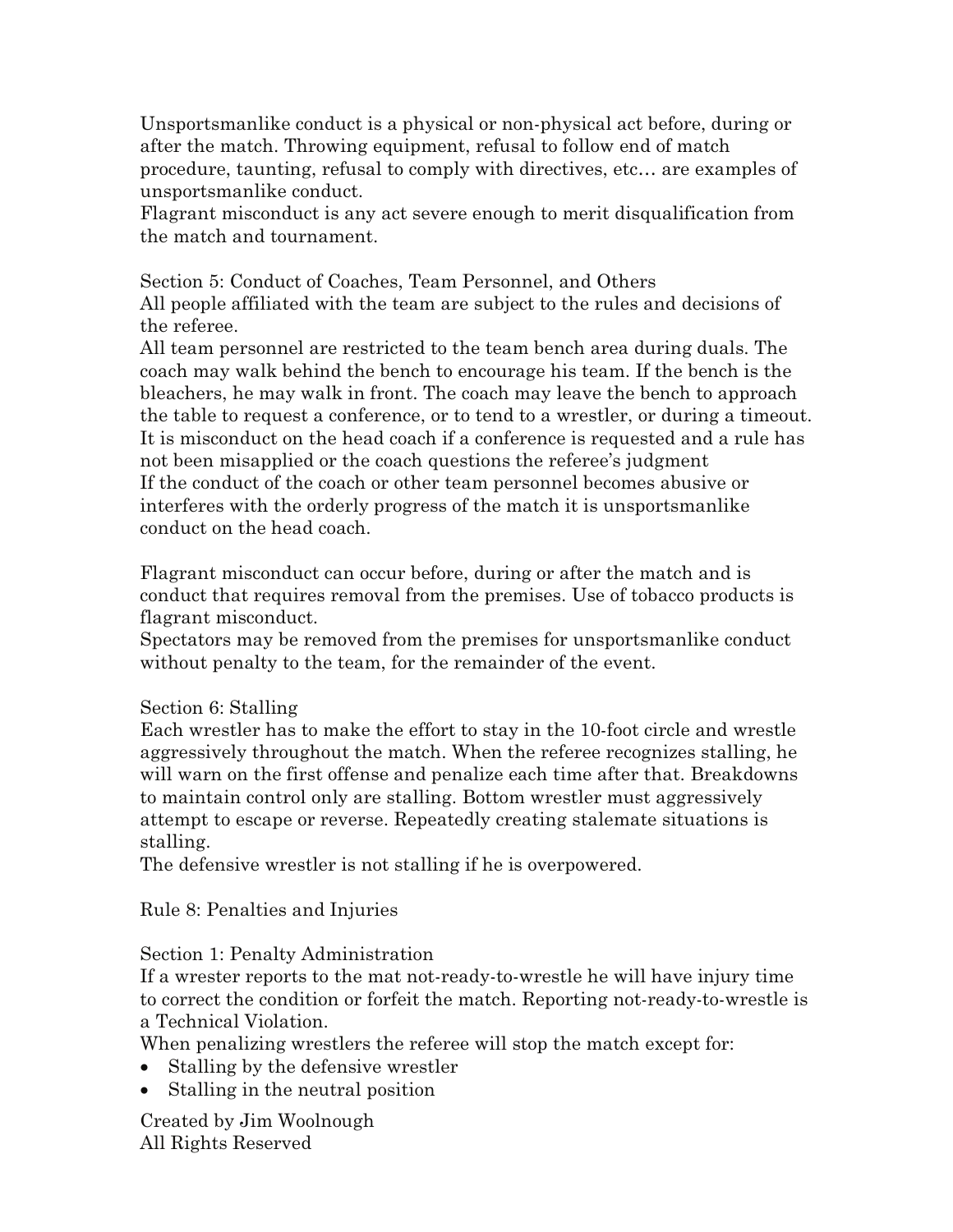Unsportsmanlike conduct is a physical or non-physical act before, during or after the match. Throwing equipment, refusal to follow end of match procedure, taunting, refusal to comply with directives, etc… are examples of unsportsmanlike conduct.

Flagrant misconduct is any act severe enough to merit disqualification from the match and tournament.

Section 5: Conduct of Coaches, Team Personnel, and Others All people affiliated with the team are subject to the rules and decisions of the referee.

All team personnel are restricted to the team bench area during duals. The coach may walk behind the bench to encourage his team. If the bench is the bleachers, he may walk in front. The coach may leave the bench to approach the table to request a conference, or to tend to a wrestler, or during a timeout. It is misconduct on the head coach if a conference is requested and a rule has not been misapplied or the coach questions the referee's judgment If the conduct of the coach or other team personnel becomes abusive or interferes with the orderly progress of the match it is unsportsmanlike conduct on the head coach.

Flagrant misconduct can occur before, during or after the match and is conduct that requires removal from the premises. Use of tobacco products is flagrant misconduct.

Spectators may be removed from the premises for unsportsmanlike conduct without penalty to the team, for the remainder of the event.

#### Section 6: Stalling

Each wrestler has to make the effort to stay in the 10-foot circle and wrestle aggressively throughout the match. When the referee recognizes stalling, he will warn on the first offense and penalize each time after that. Breakdowns to maintain control only are stalling. Bottom wrestler must aggressively attempt to escape or reverse. Repeatedly creating stalemate situations is stalling.

The defensive wrestler is not stalling if he is overpowered.

Rule 8: Penalties and Injuries

Section 1: Penalty Administration

If a wrester reports to the mat not-ready-to-wrestle he will have injury time to correct the condition or forfeit the match. Reporting not-ready-to-wrestle is a Technical Violation.

When penalizing wrestlers the referee will stop the match except for:

- Stalling by the defensive wrestler
- Stalling in the neutral position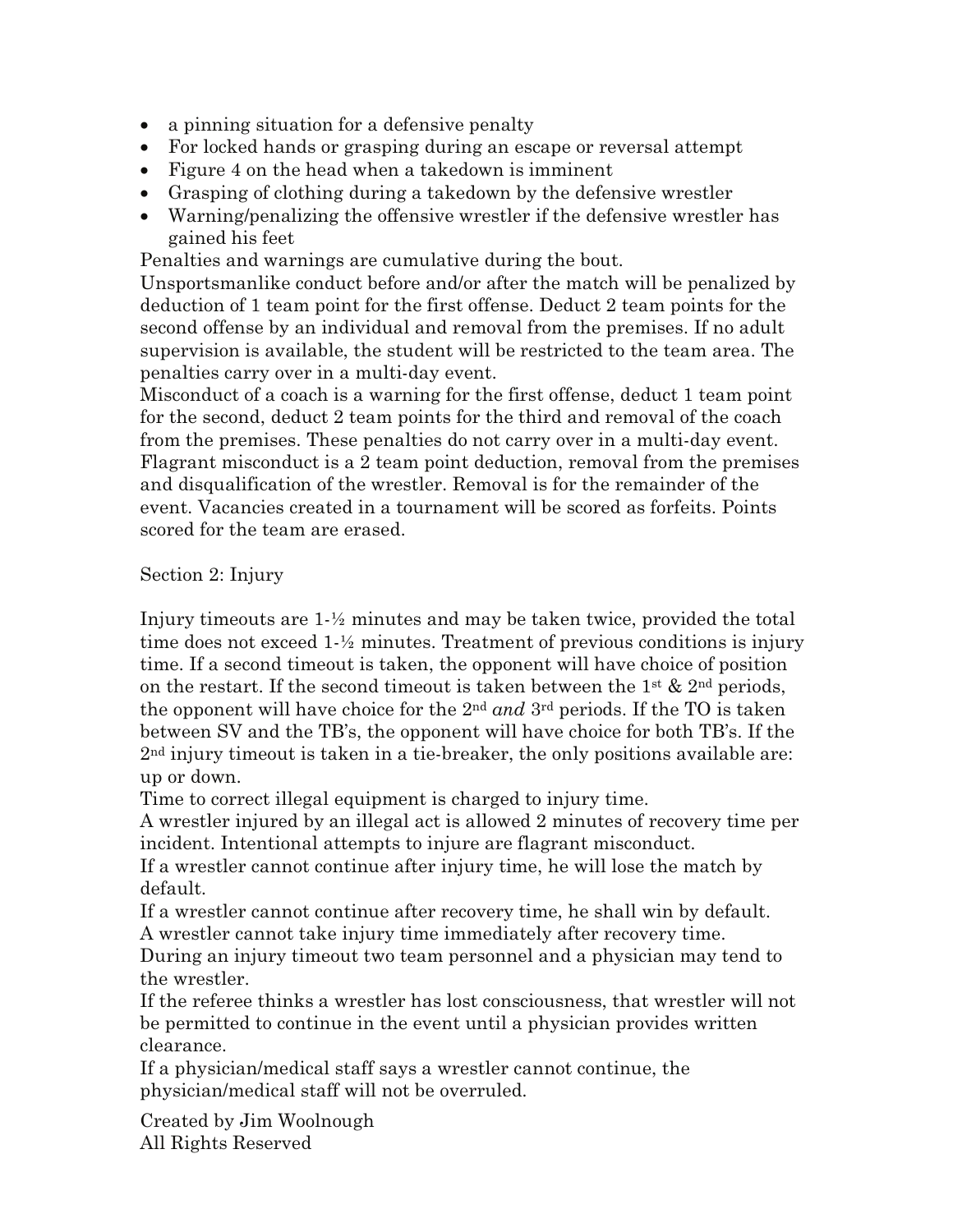- a pinning situation for a defensive penalty
- For locked hands or grasping during an escape or reversal attempt
- Figure 4 on the head when a takedown is imminent
- Grasping of clothing during a takedown by the defensive wrestler
- Warning/penalizing the offensive wrestler if the defensive wrestler has gained his feet

Penalties and warnings are cumulative during the bout.

Unsportsmanlike conduct before and/or after the match will be penalized by deduction of 1 team point for the first offense. Deduct 2 team points for the second offense by an individual and removal from the premises. If no adult supervision is available, the student will be restricted to the team area. The penalties carry over in a multi-day event.

Misconduct of a coach is a warning for the first offense, deduct 1 team point for the second, deduct 2 team points for the third and removal of the coach from the premises. These penalties do not carry over in a multi-day event. Flagrant misconduct is a 2 team point deduction, removal from the premises and disqualification of the wrestler. Removal is for the remainder of the event. Vacancies created in a tournament will be scored as forfeits. Points scored for the team are erased.

Section 2: Injury

Injury timeouts are 1-½ minutes and may be taken twice, provided the total time does not exceed 1-½ minutes. Treatment of previous conditions is injury time. If a second timeout is taken, the opponent will have choice of position on the restart. If the second timeout is taken between the  $1^{st}$  &  $2^{nd}$  periods, the opponent will have choice for the 2nd *and* 3rd periods. If the TO is taken between SV and the TB's, the opponent will have choice for both TB's. If the  $2<sup>nd</sup>$  injury timeout is taken in a tie-breaker, the only positions available are: up or down.

Time to correct illegal equipment is charged to injury time.

A wrestler injured by an illegal act is allowed 2 minutes of recovery time per incident. Intentional attempts to injure are flagrant misconduct.

If a wrestler cannot continue after injury time, he will lose the match by default.

If a wrestler cannot continue after recovery time, he shall win by default. A wrestler cannot take injury time immediately after recovery time.

During an injury timeout two team personnel and a physician may tend to the wrestler.

If the referee thinks a wrestler has lost consciousness, that wrestler will not be permitted to continue in the event until a physician provides written clearance.

If a physician/medical staff says a wrestler cannot continue, the physician/medical staff will not be overruled.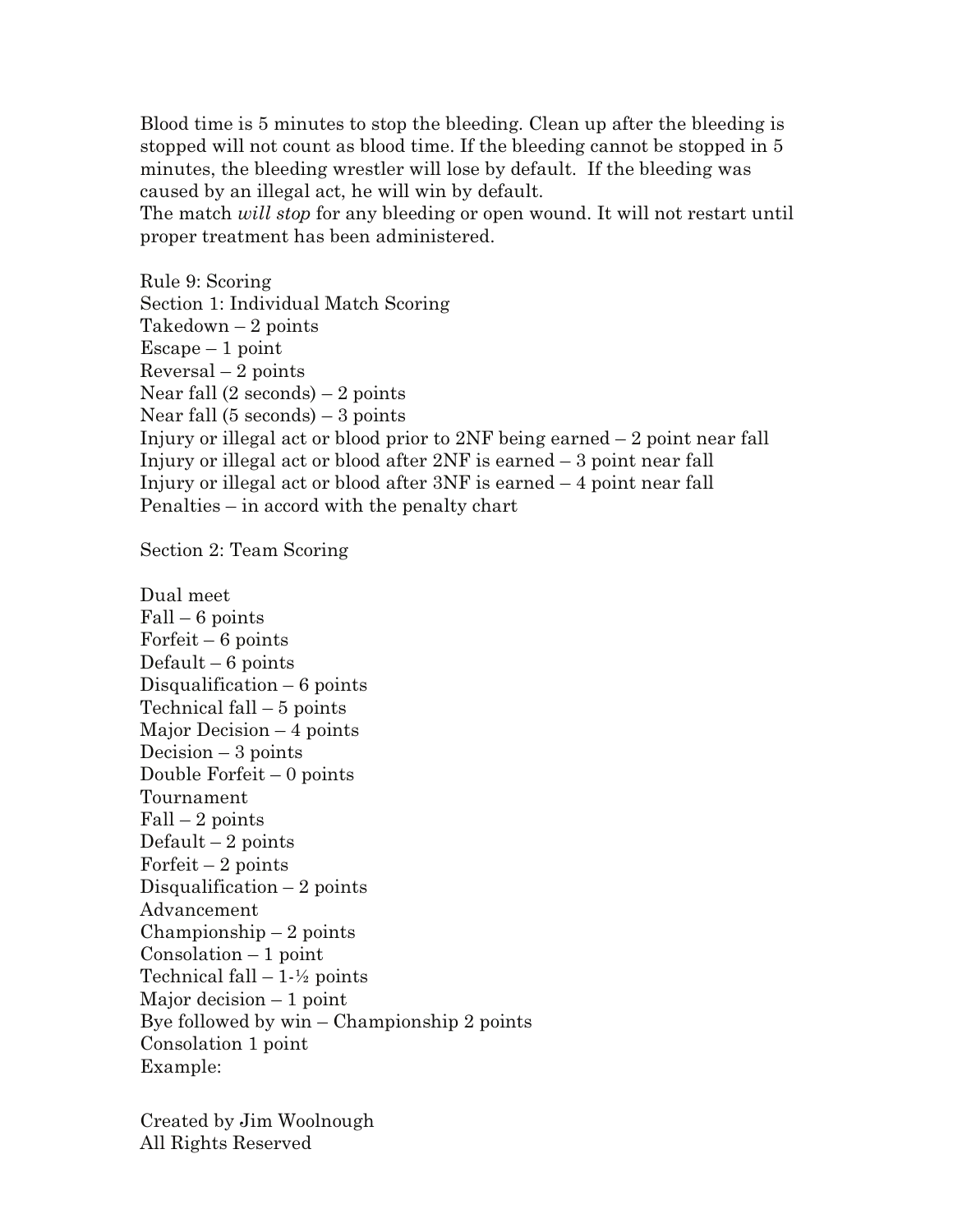Blood time is 5 minutes to stop the bleeding. Clean up after the bleeding is stopped will not count as blood time. If the bleeding cannot be stopped in 5 minutes, the bleeding wrestler will lose by default. If the bleeding was caused by an illegal act, he will win by default.

The match *will stop* for any bleeding or open wound. It will not restart until proper treatment has been administered.

Rule 9: Scoring Section 1: Individual Match Scoring Takedown  $-2$  points  $E$ scape – 1 point  $Reversal - 2 points$ Near fall  $(2$  seconds) – 2 points Near fall (5 seconds) – 3 points Injury or illegal act or blood prior to 2NF being earned – 2 point near fall Injury or illegal act or blood after 2NF is earned – 3 point near fall Injury or illegal act or blood after 3NF is earned – 4 point near fall Penalties – in accord with the penalty chart

Section 2: Team Scoring

Dual meet  $Fall - 6 points$ Forfeit – 6 points Default  $-6$  points Disqualification – 6 points Technical fall – 5 points Major Decision – 4 points Decision  $-3$  points Double Forfeit – 0 points Tournament  $Fall - 2 points$ Default  $-2$  points Forfeit  $-2$  points Disqualification  $-2$  points Advancement  $Championship - 2 points$  $Consolation - 1 point$ Technical fall  $-1-\frac{1}{2}$  points Major decision  $-1$  point Bye followed by win – Championship 2 points Consolation 1 point Example: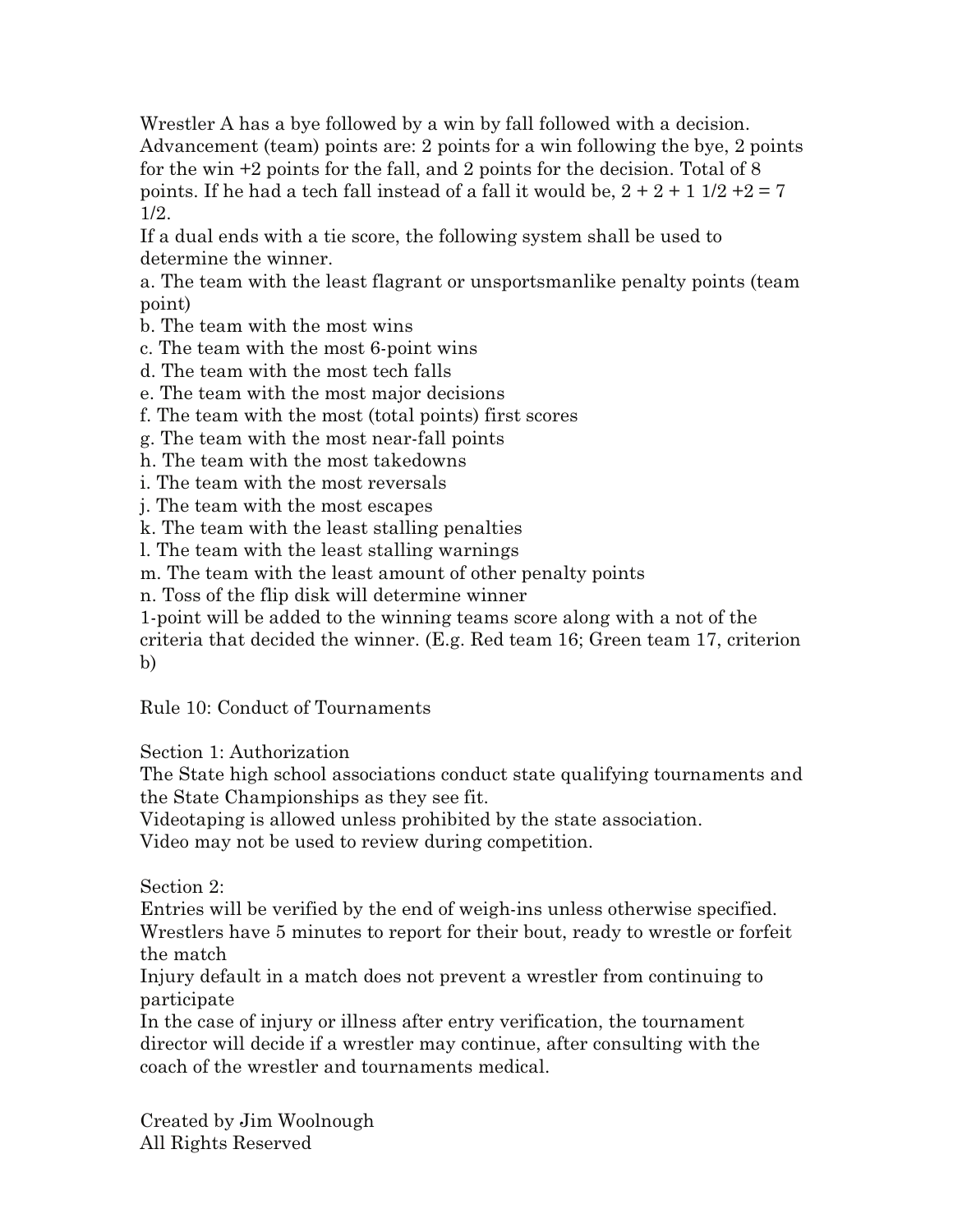Wrestler A has a bye followed by a win by fall followed with a decision. Advancement (team) points are: 2 points for a win following the bye, 2 points for the win +2 points for the fall, and 2 points for the decision. Total of 8 points. If he had a tech fall instead of a fall it would be,  $2 + 2 + 1$  1/2 + 2 = 7 1/2.

If a dual ends with a tie score, the following system shall be used to determine the winner.

a. The team with the least flagrant or unsportsmanlike penalty points (team point)

b. The team with the most wins

c. The team with the most 6-point wins

d. The team with the most tech falls

e. The team with the most major decisions

f. The team with the most (total points) first scores

g. The team with the most near-fall points

h. The team with the most takedowns

i. The team with the most reversals

j. The team with the most escapes

k. The team with the least stalling penalties

l. The team with the least stalling warnings

m. The team with the least amount of other penalty points

n. Toss of the flip disk will determine winner

1-point will be added to the winning teams score along with a not of the

criteria that decided the winner. (E.g. Red team 16; Green team 17, criterion b)

Rule 10: Conduct of Tournaments

Section 1: Authorization

The State high school associations conduct state qualifying tournaments and the State Championships as they see fit.

Videotaping is allowed unless prohibited by the state association.

Video may not be used to review during competition.

Section 2:

Entries will be verified by the end of weigh-ins unless otherwise specified. Wrestlers have 5 minutes to report for their bout, ready to wrestle or forfeit the match

Injury default in a match does not prevent a wrestler from continuing to participate

In the case of injury or illness after entry verification, the tournament director will decide if a wrestler may continue, after consulting with the coach of the wrestler and tournaments medical.